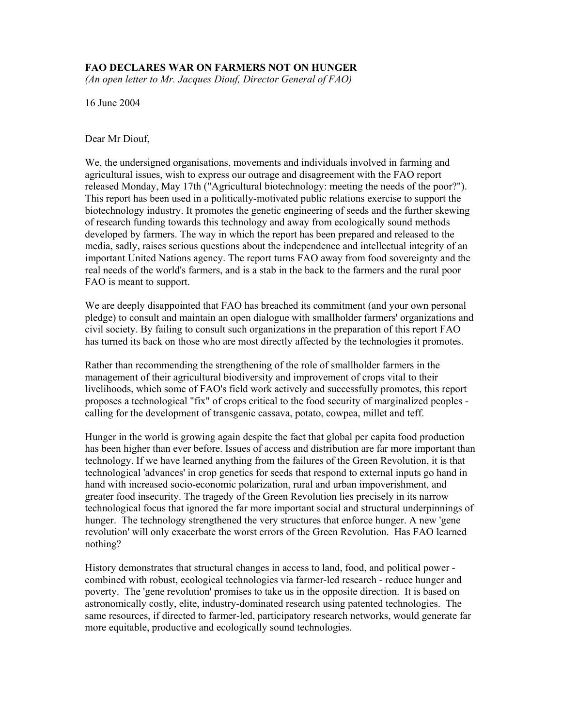# **FAO DECLARES WAR ON FARMERS NOT ON HUNGER**

*(An open letter to Mr. Jacques Diouf, Director General of FAO)* 

16 June 2004

Dear Mr Diouf,

We, the undersigned organisations, movements and individuals involved in farming and agricultural issues, wish to express our outrage and disagreement with the FAO report released Monday, May 17th ("Agricultural biotechnology: meeting the needs of the poor?"). This report has been used in a politically-motivated public relations exercise to support the biotechnology industry. It promotes the genetic engineering of seeds and the further skewing of research funding towards this technology and away from ecologically sound methods developed by farmers. The way in which the report has been prepared and released to the media, sadly, raises serious questions about the independence and intellectual integrity of an important United Nations agency. The report turns FAO away from food sovereignty and the real needs of the world's farmers, and is a stab in the back to the farmers and the rural poor FAO is meant to support.

We are deeply disappointed that FAO has breached its commitment (and your own personal pledge) to consult and maintain an open dialogue with smallholder farmers' organizations and civil society. By failing to consult such organizations in the preparation of this report FAO has turned its back on those who are most directly affected by the technologies it promotes.

Rather than recommending the strengthening of the role of smallholder farmers in the management of their agricultural biodiversity and improvement of crops vital to their livelihoods, which some of FAO's field work actively and successfully promotes, this report proposes a technological "fix" of crops critical to the food security of marginalized peoples calling for the development of transgenic cassava, potato, cowpea, millet and teff.

Hunger in the world is growing again despite the fact that global per capita food production has been higher than ever before. Issues of access and distribution are far more important than technology. If we have learned anything from the failures of the Green Revolution, it is that technological 'advances' in crop genetics for seeds that respond to external inputs go hand in hand with increased socio-economic polarization, rural and urban impoverishment, and greater food insecurity. The tragedy of the Green Revolution lies precisely in its narrow technological focus that ignored the far more important social and structural underpinnings of hunger. The technology strengthened the very structures that enforce hunger. A new 'gene revolution' will only exacerbate the worst errors of the Green Revolution. Has FAO learned nothing?

History demonstrates that structural changes in access to land, food, and political power combined with robust, ecological technologies via farmer-led research - reduce hunger and poverty. The 'gene revolution' promises to take us in the opposite direction. It is based on astronomically costly, elite, industry-dominated research using patented technologies. The same resources, if directed to farmer-led, participatory research networks, would generate far more equitable, productive and ecologically sound technologies.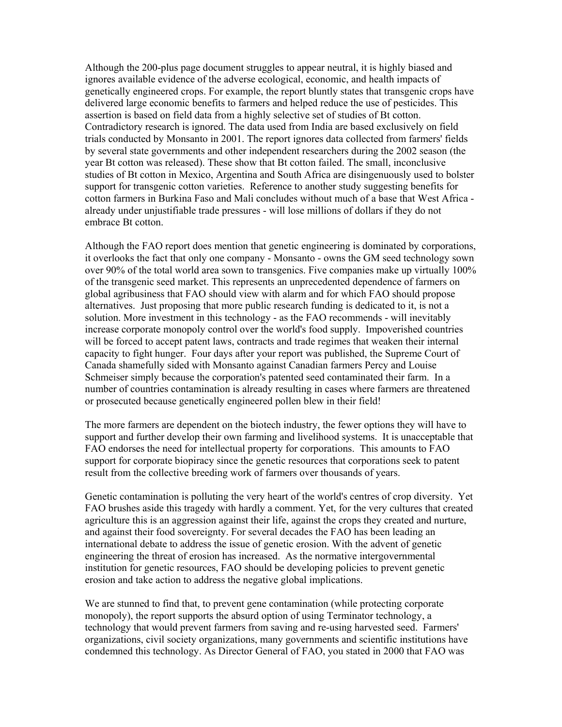Although the 200-plus page document struggles to appear neutral, it is highly biased and ignores available evidence of the adverse ecological, economic, and health impacts of genetically engineered crops. For example, the report bluntly states that transgenic crops have delivered large economic benefits to farmers and helped reduce the use of pesticides. This assertion is based on field data from a highly selective set of studies of Bt cotton. Contradictory research is ignored. The data used from India are based exclusively on field trials conducted by Monsanto in 2001. The report ignores data collected from farmers' fields by several state governments and other independent researchers during the 2002 season (the year Bt cotton was released). These show that Bt cotton failed. The small, inconclusive studies of Bt cotton in Mexico, Argentina and South Africa are disingenuously used to bolster support for transgenic cotton varieties. Reference to another study suggesting benefits for cotton farmers in Burkina Faso and Mali concludes without much of a base that West Africa already under unjustifiable trade pressures - will lose millions of dollars if they do not embrace Bt cotton.

Although the FAO report does mention that genetic engineering is dominated by corporations, it overlooks the fact that only one company - Monsanto - owns the GM seed technology sown over 90% of the total world area sown to transgenics. Five companies make up virtually 100% of the transgenic seed market. This represents an unprecedented dependence of farmers on global agribusiness that FAO should view with alarm and for which FAO should propose alternatives. Just proposing that more public research funding is dedicated to it, is not a solution. More investment in this technology - as the FAO recommends - will inevitably increase corporate monopoly control over the world's food supply. Impoverished countries will be forced to accept patent laws, contracts and trade regimes that weaken their internal capacity to fight hunger. Four days after your report was published, the Supreme Court of Canada shamefully sided with Monsanto against Canadian farmers Percy and Louise Schmeiser simply because the corporation's patented seed contaminated their farm. In a number of countries contamination is already resulting in cases where farmers are threatened or prosecuted because genetically engineered pollen blew in their field!

The more farmers are dependent on the biotech industry, the fewer options they will have to support and further develop their own farming and livelihood systems. It is unacceptable that FAO endorses the need for intellectual property for corporations. This amounts to FAO support for corporate biopiracy since the genetic resources that corporations seek to patent result from the collective breeding work of farmers over thousands of years.

Genetic contamination is polluting the very heart of the world's centres of crop diversity. Yet FAO brushes aside this tragedy with hardly a comment. Yet, for the very cultures that created agriculture this is an aggression against their life, against the crops they created and nurture, and against their food sovereignty. For several decades the FAO has been leading an international debate to address the issue of genetic erosion. With the advent of genetic engineering the threat of erosion has increased. As the normative intergovernmental institution for genetic resources, FAO should be developing policies to prevent genetic erosion and take action to address the negative global implications.

We are stunned to find that, to prevent gene contamination (while protecting corporate monopoly), the report supports the absurd option of using Terminator technology, a technology that would prevent farmers from saving and re-using harvested seed. Farmers' organizations, civil society organizations, many governments and scientific institutions have condemned this technology. As Director General of FAO, you stated in 2000 that FAO was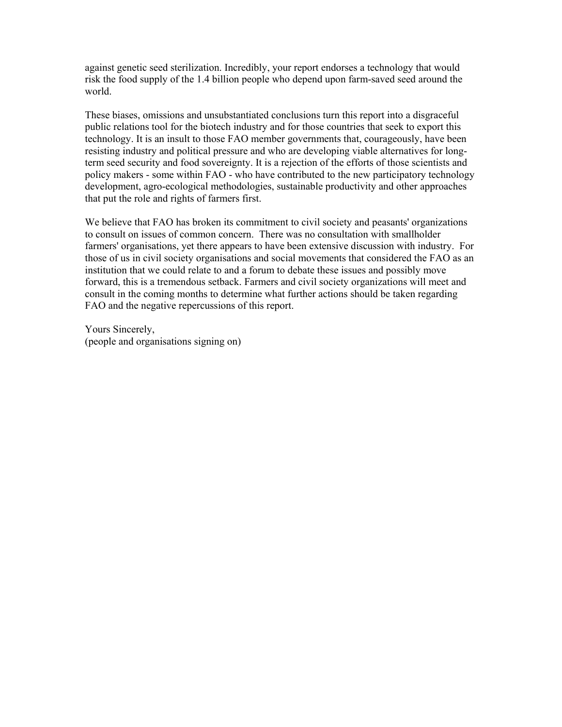against genetic seed sterilization. Incredibly, your report endorses a technology that would risk the food supply of the 1.4 billion people who depend upon farm-saved seed around the world.

These biases, omissions and unsubstantiated conclusions turn this report into a disgraceful public relations tool for the biotech industry and for those countries that seek to export this technology. It is an insult to those FAO member governments that, courageously, have been resisting industry and political pressure and who are developing viable alternatives for longterm seed security and food sovereignty. It is a rejection of the efforts of those scientists and policy makers - some within FAO - who have contributed to the new participatory technology development, agro-ecological methodologies, sustainable productivity and other approaches that put the role and rights of farmers first.

We believe that FAO has broken its commitment to civil society and peasants' organizations to consult on issues of common concern. There was no consultation with smallholder farmers' organisations, yet there appears to have been extensive discussion with industry. For those of us in civil society organisations and social movements that considered the FAO as an institution that we could relate to and a forum to debate these issues and possibly move forward, this is a tremendous setback. Farmers and civil society organizations will meet and consult in the coming months to determine what further actions should be taken regarding FAO and the negative repercussions of this report.

Yours Sincerely, (people and organisations signing on)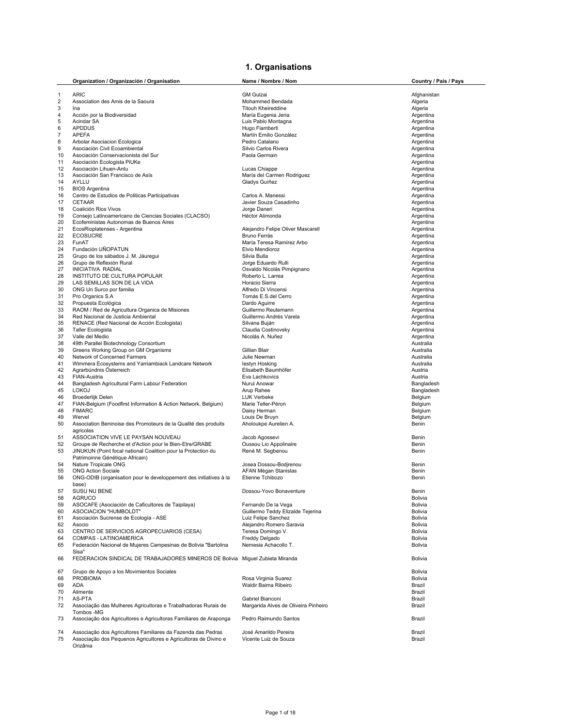## **1. Organisations**

|                | Organization / Organización / Organisation                                                                                      | Name / Nombre / Nom                            | Country / País / Pays  |
|----------------|---------------------------------------------------------------------------------------------------------------------------------|------------------------------------------------|------------------------|
| $\mathbf{1}$   | <b>ARIC</b>                                                                                                                     | <b>GM Gulzai</b>                               | Afghanistan            |
| $\overline{2}$ | Association des Amis de la Saoura                                                                                               | Mohammed Bendada                               | Algeria                |
| 3              | Ina                                                                                                                             | <b>Titouh Kheireddine</b>                      | Algeria                |
| 4              | Acción por la Biodiversidad                                                                                                     | María Eugenia Jeria                            | Argentina              |
| 5              | Acindar SA                                                                                                                      | Luis Pablo Montagna                            | Argentina              |
| 6              | <b>APDDUS</b>                                                                                                                   | Hugo Fiamberti                                 | Argentina              |
| 7              | <b>APEFA</b>                                                                                                                    | Martín Emilio González                         | Argentina              |
| 8              | Arbolar Asociacion Ecologica                                                                                                    | Pedro Catalano                                 | Argentina              |
| 9              | Asociación Civil Ecoambiental                                                                                                   | Silvio Carlos Rivera                           | Argentina              |
| 10             | Asociación Conservacionista del Sur                                                                                             | Paola Germain                                  | Argentina              |
| 11             | Asociación Ecologista PiUKe                                                                                                     |                                                | Argentina              |
| 12             | Asociación Lihuen-Antu                                                                                                          | Lucas Chiappe                                  | Argentina              |
| 13             | Asociación San Francisco de Asís                                                                                                | María del Carmen Rodriguez                     | Argentina              |
| 14             | AYLLU                                                                                                                           | Gladys Guíñez                                  | Argentina              |
| 15             | <b>BIOS Argentina</b>                                                                                                           |                                                | Argentina              |
| 16             | Centro de Estudios de Politicas Participativas                                                                                  | Carlos A. Manessi                              | Argentina              |
| 17             | CETAAR                                                                                                                          | Javier Souza Casadinho                         | Argentina              |
| 18             | Coalición Rios Vivos                                                                                                            | Jorge Daneri                                   | Argentina              |
| 19             | Consejo Latinoamericano de Ciencias Sociales (CLACSO)                                                                           | Héctor Alimonda                                | Argentina              |
| 20             | Ecofeministas Autonomas de Buenos Aires                                                                                         |                                                | Argentina              |
| 21             | EcosRioplatenses - Argentina                                                                                                    | Alejandro Felipe Oliver Mascarell              | Argentina              |
| 22             | <b>ECOSUCRE</b>                                                                                                                 | Bruno Ferrás                                   | Argentina              |
| 23             | FunAT                                                                                                                           | María Teresa Ramírez Arbo                      | Argentina              |
| 24             | Fundación UÑOPATUN                                                                                                              | Elvio Mendioroz                                | Argentina              |
| 25             | Grupo de los sábados J. M. Jáuregui                                                                                             | Silvia Bulla                                   | Argentina              |
| 26             | Grupo de Reflexión Rural                                                                                                        | Jorge Eduardo Rulli                            | Argentina              |
| 27             | <b>INICIATIVA RADIAL</b>                                                                                                        | Osvaldo Nicolás Pimpignano                     | Argentina              |
| 28             | INSTITUTO DE CULTURA POPULAR                                                                                                    | Roberto L. Larrea                              | Argentina              |
| 29             | LAS SEMILLAS SON DE LA VIDA                                                                                                     | Horacio Sierra                                 | Argentina              |
| 30             | ONG Un Surco por familia                                                                                                        | Alfredo Di Vincensi                            | Argentina              |
| 31             | Pro Organics S.A                                                                                                                | Tomás E.S.del Cerro                            | Argentina              |
| 32             | Propuesta Ecológica                                                                                                             | Dardo Aguirre                                  | Argentina              |
| 33             | RAOM / Red de Agricultura Organica de Misiones                                                                                  | Guillermo Reutemann                            | Argentina              |
| 34             | Red Nacional de Justicia Ambiental                                                                                              | Guillermo Andrés Varela                        | Argentina              |
| 35             | RENACE (Red Nacional de Acción Ecologista)                                                                                      | Silvana Buján                                  | Argentina              |
| 36             | <b>Taller Ecologista</b>                                                                                                        | Claudia Costinovsky                            | Argentina              |
| 37             | Valle del Medio                                                                                                                 | Nicolás A. Nuñez                               | Argentina              |
| 38             | 49th Parallel Biotechnology Consortium                                                                                          |                                                | Australia              |
| 39<br>40       | Greens Working Group on GM Organisms<br>Network of Concerned Farmers                                                            | Gillian Blair                                  | Australia              |
| 41             | Wimmera Ecosystems and Yarriambiack Landcare Network                                                                            | Julie Newman                                   | Australia<br>Australia |
| 42             | Agrarbündnis Österreich                                                                                                         | lestyn Hosking<br>Elisabeth Baumhöfer          | Austria                |
| 43             | FIAN-Austria                                                                                                                    | Eva Lachkovics                                 | Austria                |
| 44             | Bangladesh Agricultural Farm Labour Federation                                                                                  | Nurul Anowar                                   | Bangladesh             |
| 45             | <b>LOKOJ</b>                                                                                                                    | Arup Rahee                                     | Bangladesh             |
| 46             | Broederlijk Delen                                                                                                               | <b>LUK Verbeke</b>                             | Belgium                |
| 47             | FIAN-Belgium (Foodfirst Information & Action Network, Belgium)                                                                  | Marie Teller-Péron                             | Belgium                |
| 48             | <b>FIMARC</b>                                                                                                                   | Daisy Herman                                   | Belgium                |
| 49             | Wervel                                                                                                                          | Louis De Bruyn                                 | Belgium                |
| 50             | Association Beninoise des Promoteurs de la Qualité des produits                                                                 | Aholoukpe Aurelien A.                          | Benin                  |
|                | agricoles                                                                                                                       |                                                |                        |
| 51             | ASSOCIATION VIVE LE PAYSAN NOUVEAU                                                                                              | Jacob Agossevi                                 | Benin                  |
| 52             | Groupe de Recherche et d'Action pour le Bien-Etre/GRABE                                                                         | Oussou Lio Appolinaire                         | Benin                  |
| 53             | JINUKUN (Point focal national Coalition pour la Protection du                                                                   | René M. Segbenou                               | Benin                  |
|                | Patrimoinne Génétique Africain)                                                                                                 |                                                |                        |
| 54             | Nature Tropicale ONG                                                                                                            | Josea Dossou-Bodjrenou                         | Benin                  |
| 55             | <b>ONG Action Sociale</b>                                                                                                       | AFAN Mégan Stanislas                           | Benin                  |
| 56             | ONG-ODIB (organisation pour le developpement des initiatives à la                                                               | Etienne Tchibozo                               | Benin                  |
|                | base)                                                                                                                           |                                                |                        |
| 57             | <b>SUSU NU BENE</b>                                                                                                             | Dossou-Yovo Bonaventure                        | Benin                  |
| 58             | <b>AGRUCO</b>                                                                                                                   |                                                | Bolivia                |
| 59             | ASOCAFE (Asociación de Caficultores de Taipilaya)                                                                               | Fernando De la Vega                            | Bolivia                |
| 60             | ASOCIACION "HUMBOLDT"                                                                                                           | Guillermo Teddy Elizalde Tejerina              | Bolivia                |
| 61             | Asociación Sucrense de Ecología - ASE                                                                                           | Luiz Felipe Sanchez                            | Bolivia                |
| 62             | Asocio                                                                                                                          | Alejandro Romero Saravia                       | Bolivia                |
| 63             | CENTRO DE SERVICIOS AGROPECUARIOS (CESA)                                                                                        | Teresa Domingo V.                              | <b>Bolivia</b>         |
| 64             | COMPAS - LATINOAMERICA                                                                                                          | Freddy Delgado                                 | <b>Bolivia</b>         |
| 65             | Federación Nacional de Mujeres Campesinas de Bolivia "Bartolina                                                                 | Nemesia Achacollo T.                           | <b>Bolivia</b>         |
| 66             | Sisa"<br>FEDERACION SINDICAL DE TRABAJADORES MINEROS DE Bolivia Miguel Zubieta Miranda                                          |                                                | Bolivia                |
|                |                                                                                                                                 |                                                |                        |
| 67             | Grupo de Apoyo a los Movimientos Sociales                                                                                       |                                                | <b>Bolivia</b>         |
| 68             | <b>PROBIOMA</b>                                                                                                                 | Rosa Virginia Suarez                           | Bolivia                |
| 69             | ADA                                                                                                                             | Waldir Baima Ribeiro                           | Brazil                 |
| 70             | Alimente                                                                                                                        |                                                | Brazil                 |
| 71             | AS-PTA                                                                                                                          | Gabriel Bianconi                               | Brazil                 |
| 72             | Associação das Mulheres Agricultoras e Trabalhadoras Rurais de                                                                  | Margarida Alves de Oliveira Pinheiro           | Brazil                 |
|                | Tombos -MG                                                                                                                      |                                                |                        |
| 73             | Associação dos Agricultores e Agricultoras Familiares de Araponga                                                               | Pedro Raimundo Santos                          | Brazil                 |
|                |                                                                                                                                 |                                                |                        |
| 74<br>75       | Associação dos Agricultores Familiares da Fazenda das Pedras<br>Associação dos Pequenos Agricultores e Agricultoras de Divino e | José Amarildo Pereira<br>Vicente Luiz de Souza | Brazil<br>Brazil       |
|                | Orizânia                                                                                                                        |                                                |                        |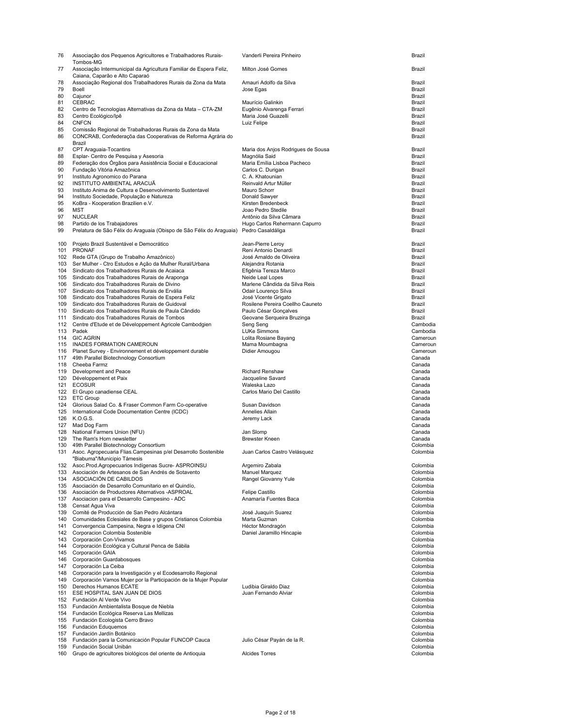| 76       | Associação dos Pequenos Agricultores e Trabalhadores Rurais-<br>Tombos-MG                                         | Vanderli Pereira Pinheiro                                 | Brazil               |
|----------|-------------------------------------------------------------------------------------------------------------------|-----------------------------------------------------------|----------------------|
| 77       | Associação Intermunicipal da Agricultura Familiar de Espera Feliz,                                                | Milton José Gomes                                         | Brazil               |
| 78       | Caiana, Caparão e Alto Caparaó<br>Associação Regional dos Trabalhadores Rurais da Zona da Mata                    | Amauri Adolfo da Silva                                    | Brazil               |
| 79       | Boell                                                                                                             | Jose Egas                                                 | Brazil               |
| 80       | Cajunor                                                                                                           |                                                           | Brazil               |
| 81       | CEBRAC                                                                                                            | Maurício Galinkin                                         | Brazil               |
| 82<br>83 | Centro de Tecnologias Alternativas da Zona da Mata - CTA-ZM<br>Centro Ecológico/Ipê                               | Eugênio Alvarenga Ferrari<br>Maria José Guazelli          | Brazil<br>Brazil     |
| 84       | <b>CNFCN</b>                                                                                                      | Luiz Felipe                                               | Brazil               |
| 85       | Comissão Regional de Trabalhadoras Rurais da Zona da Mata                                                         |                                                           | Brazil               |
| 86       | CONCRAB, Confederaçõa das Cooperativas de Reforma Agrária do<br>Brazil                                            |                                                           | Brazil               |
| 87       | CPT Araguaia-Tocantins                                                                                            | Maria dos Anjos Rodrigues de Sousa                        | Brazil               |
| 88       | Esplar- Centro de Pesquisa y Asesoria                                                                             | Magnólia Said                                             | Brazil               |
| 89<br>90 | Federação dos Órgãos para Assistência Social e Educacional<br>Fundação Vitória Amazônica                          | Maria Emília Lisboa Pacheco<br>Carlos C. Durigan          | Brazil<br>Brazil     |
| 91       | Instituto Agronomico do Parana                                                                                    | C. A. Khatounian                                          | Brazil               |
| 92       | INSTITUTO AMBIENTAL ARACUÃ                                                                                        | Reinvald Artur Müller                                     | Brazil               |
| 93<br>94 | Instituto Anima de Cultura e Desenvolvimento Sustentavel                                                          | Mauro Schorr                                              | Brazil<br>Brazil     |
| 95       | Instituto Sociedade, População e Natureza<br>KoBra - Kooperation Brazilien e.V.                                   | Donald Sawyer<br>Kirsten Bredenbeck                       | Brazil               |
| 96       | MST                                                                                                               | Joao Pedro Stedile                                        | Brazil               |
| 97       | <b>NUCLEAR</b>                                                                                                    | Antônio da Silva Câmara                                   | Brazil               |
| 98<br>99 | Partido de los Trabajadores<br>Prelatura de São Félix do Araguaia (Obispo de São Félix do Araguaia)               | Hugo Carlos Rehermann Capurro<br>Pedro Casaldáliga        | Brazil<br>Brazil     |
|          |                                                                                                                   |                                                           |                      |
|          | 100 Projeto Brazil Sustentável e Democrático<br>101 PRONAF                                                        | Jean-Pierre Leroy<br>Reni Antonio Denardi                 | Brazil<br>Brazil     |
|          | 102 Rede GTA (Grupo de Trabalho Amazônico)                                                                        | José Arnaldo de Oliveira                                  | Brazil               |
|          | 103 Ser Mulher - Ctro Estudos e Ação da Mulher Rural/Urbana                                                       | Alejandra Rotania                                         | Brazil               |
|          | 104 Sindicato dos Trabalhadores Rurais de Acaiaca                                                                 | Efigênia Tereza Marco                                     | Brazil               |
|          | 105 Sindicato dos Trabalhadores Rurais de Araponga<br>106 Sindicato dos Trabalhadores Rurais de Divino            | Neide Leal Lopes<br>Marlene Cândida da Silva Reis         | Brazil<br>Brazil     |
|          | 107 Sindicato dos Trabalhadores Rurais de Ervália                                                                 | Odair Lourenço Silva                                      | Brazil               |
|          | 108 Sindicato dos Trabalhadores Rurais de Espera Feliz                                                            | José Vicente Grigato                                      | Brazil               |
|          | 109 Sindicato dos Trabalhadores Rurais de Guidoval<br>110 Sindicato dos Trabalhadores Rurais de Paula Cândido     | Rosilene Pereira Coellho Cauneto<br>Paulo César Gonçalves | Brazil<br>Brazil     |
|          | 111 Sindicato dos Trabalhadores Rurais de Tombos                                                                  | Geovane Serqueira Bruzinga                                | Brazil               |
|          | 112 Centre d'Etude et de Développement Agricole Cambodgien                                                        | Seng Seng                                                 | Cambodia             |
|          | 113 Padek<br>114 GIC AGRIN                                                                                        | <b>LUKe Simmons</b>                                       | Cambodia             |
|          | 115 INADES FORMATION CAMEROUN                                                                                     | Lolita Rosiane Bayang<br>Mama Moumbagna                   | Cameroun<br>Cameroun |
|          | 116 Planet Survey - Environnement et développement durable                                                        | Didier Amougou                                            | Cameroun             |
|          | 117 49th Parallel Biotechnology Consortium                                                                        |                                                           | Canada               |
|          | 118 Cheeba Farmz<br>119 Development and Peace                                                                     | <b>Richard Renshaw</b>                                    | Canada<br>Canada     |
|          | 120 Développement et Paix                                                                                         | Jacqueline Savard                                         | Canada               |
|          | 121 ECOSUR                                                                                                        | Waleska Lazo                                              | Canada               |
|          | 122 El Grupo canadiense CEAL<br>123 ETC Group                                                                     | Carlos Mario Del Castillo                                 | Canada<br>Canada     |
| 124      | Glorious Salad Co. & Fraser Common Farm Co-operative                                                              | Susan Davidson                                            | Canada               |
|          | 125 International Code Documentation Centre (ICDC)                                                                | Annelies Allain                                           | Canada               |
|          | 126 K.O.G.S.<br>127 Mad Dog Farm                                                                                  | Jeremy Lack                                               | Canada<br>Canada     |
|          | 128 National Farmers Union (NFU)                                                                                  | Jan Slomp                                                 | Canada               |
|          | 129 The Ram's Horn newsletter                                                                                     | <b>Brewster Kneen</b>                                     | Canada               |
|          | 130 49th Parallel Biotechnology Consortium<br>131 Asoc. Agropecuaria Flias. Campesinas p/el Desarrollo Sostenible | Juan Carlos Castro Velásquez                              | Colombia<br>Colombia |
|          | "Biabuma"/Municipio Támesis                                                                                       |                                                           |                      |
|          | 132 Asoc.Prod.Agropecuarios Indígenas Sucre- ASPROINSU                                                            | Argemiro Zabala                                           | Colombia             |
|          | 133 Asociación de Artesanos de San Andrés de Sotavento<br>134 ASOCIACION DE CABILDOS                              | Manuel Marquez<br>Rangel Giovanny Yule                    | Colombia<br>Colombia |
|          | 135 Asociación de Desarrollo Comunitario en el Quindío,                                                           |                                                           | Colombia             |
|          | 136 Asociación de Productores Alternativos - ASPROAL                                                              | Felipe Castillo                                           | Colombia             |
|          | 137 Asociacion para el Desarrollo Campesino - ADC<br>138 Censat Agua Viva                                         | Anamaría Fuentes Baca                                     | Colombia<br>Colombia |
|          | 139 Comité de Producción de San Pedro Alcántara                                                                   | José Juaquín Suarez                                       | Colombia             |
|          | 140 Comunidades Eclesiales de Base y grupos Cristianos Colombia                                                   | Marta Guzman                                              | Colombia             |
|          | 141 Convergencia Campesina, Negra e Idígena CNI<br>142 Corporacion Colombia Sostenible                            | Héctor Mondragón                                          | Colombia             |
| 143      | Corporación Con-Vivamos                                                                                           | Daniel Jaramillo Hincapie                                 | Colombia<br>Colombia |
|          | 144 Corporación Ecológica y Cultural Penca de Sábila                                                              |                                                           | Colombia             |
|          | 145 Corporación GAIA                                                                                              |                                                           | Colombia             |
|          | 146 Corporación Guardabosques<br>147 Corporación La Ceiba                                                         |                                                           | Colombia<br>Colombia |
|          | 148 Corporación para la Investigación y el Ecodesarrollo Regional                                                 |                                                           | Colombia             |
|          | 149 Corporación Vamos Mujer por la Participación de la Mujer Popular                                              |                                                           | Colombia             |
|          | 150 Derechos Humanos ECATE<br>151 ESE HOSPITAL SAN JUAN DE DIOS                                                   | Ludibia Giraldo Diaz<br>Juan Fernando Alviar              | Colombia<br>Colombia |
|          | 152 Fundación Al Verde Vivo                                                                                       |                                                           | Colombia             |
|          | 153 Fundación Ambientalista Bosque de Niebla                                                                      |                                                           | Colombia             |
|          | 154 Fundación Ecológica Reserva Las Mellizas<br>155 Fundación Ecologista Cerro Bravo                              |                                                           | Colombia<br>Colombia |
|          | 156 Fundación Eduquemos                                                                                           |                                                           | Colombia             |
|          | 157 Fundación Jardín Botánico                                                                                     |                                                           | Colombia             |
|          | 158 Fundación para la Comunicación Popular FUNCOP Cauca<br>159 Fundación Social Unibán                            | Julio César Payán de la R.                                | Colombia<br>Colombia |
| 160      | Grupo de agricultores biológicos del oriente de Antioquia                                                         | <b>Alcides Torres</b>                                     | Colombia             |
|          |                                                                                                                   |                                                           |                      |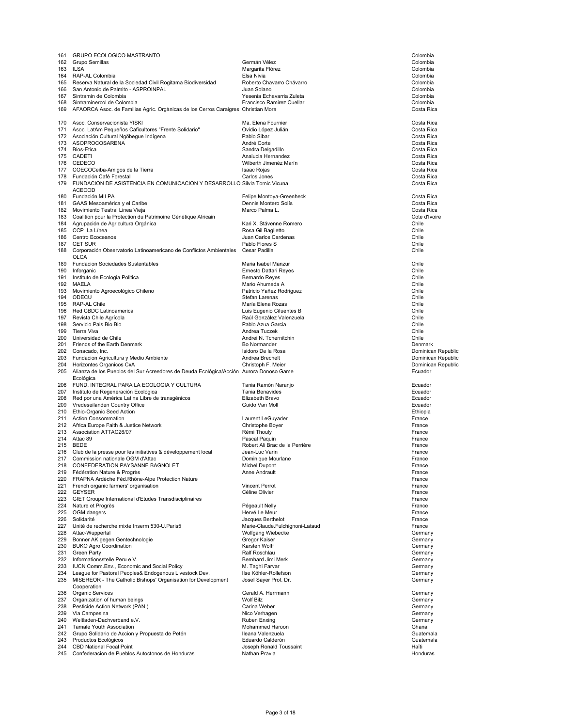| 161        | <b>GRUPO ECOLOGICO MASTRANTO</b>                                                                        |                                              | Colombia                                 |
|------------|---------------------------------------------------------------------------------------------------------|----------------------------------------------|------------------------------------------|
|            | 162 Grupo Semillas                                                                                      | Germán Vélez                                 | Colombia                                 |
|            | 163 ILSA<br>164 RAP-AL Colombia                                                                         | Margarita Flórez<br>Elsa Nivia               | Colombia<br>Colombia                     |
|            | 165 Reserva Natural de la Sociedad Civil Rogitama Biodiversidad                                         | Roberto Chavarro Chávarro                    | Colombia                                 |
|            | 166 San Antonio de Palmito - ASPROINPAL                                                                 | Juan Solano                                  | Colombia                                 |
|            | 167 Sintramin de Colombia                                                                               | Yesenia Echavarria Zuleta                    | Colombia                                 |
|            | 168 Sintraminercol de Colombia                                                                          | Francisco Ramirez Cuellar                    | Colombia                                 |
|            | 169 AFAORCA Asoc. de Familias Agric. Orgànicas de los Cerros Caraigres Christian Mora                   |                                              | Costa Rica                               |
|            | 170 Asoc. Conservacionista YISKI                                                                        | Ma. Elena Fournier                           | Costa Rica                               |
|            | 171 Asoc. LatAm Pequeños Caficultores "Frente Solidario"                                                | Ovidio López Julián                          | Costa Rica                               |
|            | 172 Asociación Cultural Ngöbegue Indígena                                                               | Pablo Sibar                                  | Costa Rica                               |
|            | 173 ASOPROCOSARENA                                                                                      | André Corte                                  | Costa Rica                               |
|            | 174 Bios-Etica                                                                                          | Sandra Delgadillo                            | Costa Rica                               |
|            | 175 CADETI<br>176 CEDECO                                                                                | Analucia Hernandez<br>Wilberth Jimenéz Marín | Costa Rica<br>Costa Rica                 |
|            | 177 COECOCeiba-Amigos de la Tierra                                                                      | Isaac Rojas                                  | Costa Rica                               |
|            | 178 Fundación Café Forestal                                                                             | Carlos Jones                                 | Costa Rica                               |
|            | 179 FUNDACION DE ASISTENCIA EN COMUNICACION Y DESARROLLO Silvia Tomic Vicuna                            |                                              | Costa Rica                               |
|            | <b>ACECOD</b><br>180 Fundación MILPA                                                                    | Felipe Montoya-Greenheck                     | Costa Rica                               |
|            | 181 GAAS Mesoamérica y el Caribe                                                                        | Dennis Montero Solís                         | Costa Rica                               |
|            | 182 Movimiento Teatral Linea Vieja                                                                      | Marco Palma L.                               | Costa Rica                               |
|            | 183 Coalition pour la Protection du Patrimoine Génétique Africain                                       |                                              | Cote d'Ivoire                            |
|            | 184 Agrupación de Agricultura Orgánica                                                                  | Kari X. Stávenne Romero                      | Chile                                    |
|            | 185 CCP La Línea                                                                                        | Rosa Gil Baglietto                           | Chile                                    |
|            | 186 Centro Ecoceanos                                                                                    | Juan Carlos Cardenas                         | Chile                                    |
|            | 187 CET SUR                                                                                             | Pablo Flores S                               | Chile                                    |
|            | 188 Corporación Observatorio Latinoamericano de Conflictos Ambientales<br>OLCA                          | Cesar Padilla                                | Chile                                    |
|            | 189 Fundacion Sociedades Sustentables                                                                   | Maria Isabel Manzur                          | Chile                                    |
| 190        | Inforganic                                                                                              | Ernesto Dattari Reyes                        | Chile                                    |
|            | 191 Instituto de Ecologia Politica                                                                      | Bernardo Reyes                               | Chile                                    |
|            | 192 MAELA                                                                                               | Mario Ahumada A                              | Chile                                    |
|            | 193 Movimiento Agroecológico Chileno<br>194 ODECU                                                       | Patricio Yañez Rodriguez<br>Stefan Larenas   | Chile<br>Chile                           |
|            | 195 RAP-AL Chile                                                                                        | María Elena Rozas                            | Chile                                    |
|            | 196 Red CBDC Latinoamerica                                                                              | Luis Eugenio Cifuentes B                     | Chile                                    |
| 197        | Revista Chile Agrícola                                                                                  | Raúl González Valenzuela                     | Chile                                    |
|            | 198 Servicio Pais Bio Bio                                                                               | Pablo Azua Garcia                            | Chile                                    |
|            | 199 Tierra Viva                                                                                         | Andrea Tuczek                                | Chile                                    |
|            | 200 Universidad de Chile                                                                                | Andrei N. Tchernitchin                       | Chile                                    |
|            | 201 Friends of the Earth Denmark                                                                        | Bo Normander                                 | Denmark                                  |
|            | 202 Conacado, Inc.                                                                                      | Isidoro De la Rosa                           | Dominican Republic                       |
|            | 203 Fundacion Agricultura y Medio Ambiente<br>204 Horizontes Organicos CxA                              | Andrea Brechelt<br>Christoph F. Meier        | Dominican Republic<br>Dominican Republic |
|            | 205 Alianza de los Pueblos del Sur Acreedores de Deuda Ecológica/Acción Aurora Donoso Game<br>Ecológica |                                              | Ecuador                                  |
|            | 206 FUND. INTEGRAL PARA LA ECOLOGIA Y CULTURA                                                           | Tania Ramón Naranjo                          | Ecuador                                  |
|            | 207 Instituto de Regeneración Ecológica                                                                 | Tania Benavides                              | Ecuador                                  |
|            | 208 Red por una América Latina Libre de transgénicos                                                    | Elizabeth Bravo                              | Ecuador                                  |
|            | 209 Vredeseilanden Country Office                                                                       | Guido Van Moll                               | Ecuador                                  |
|            | 210 Ethio-Organic Seed Action<br>211 Action Consommation                                                | Laurent LeGuyader                            | Ethiopia<br>France                       |
|            | 212 Africa Europe Faith & Justice Network                                                               | Christophe Boyer                             | France                                   |
|            | 213 Association ATTAC26/07                                                                              | Rémi Thouly                                  | France                                   |
|            | 214 Attac 89                                                                                            | Pascal Paquin                                | France                                   |
|            | 215 BEDE                                                                                                | Robert Ali Brac de la Perrière               | France                                   |
|            | 216 Club de la presse pour les initiatives & développement local                                        | Jean-Luc Varin                               | France                                   |
|            | 217 Commission nationale OGM d'Attac                                                                    | Dominique Mourlane                           | France                                   |
| 218        | CONFEDERATION PAYSANNE BAGNOLET                                                                         | MICHEI DUPON                                 | France                                   |
| 219<br>220 | Fédération Nature & Progrès<br>FRAPNA Ardèche Féd.Rhône-Alpe Protection Nature                          | Anne Andrault                                | France<br>France                         |
| 221        | French organic farmers' organisation                                                                    |                                              |                                          |
|            |                                                                                                         |                                              |                                          |
|            |                                                                                                         | <b>Vincent Perrot</b>                        | France                                   |
|            | 222 GEYSER<br>223 GIET Groupe International d'Etudes Transdisciplinaires                                | Céline Olivier                               | France<br>France                         |
|            | 224 Nature et Progrès                                                                                   | Pégeault Nelly                               | France                                   |
|            | 225 OGM dangers                                                                                         | Hervé Le Meur                                | France                                   |
|            | 226 Solidarité                                                                                          | Jacques Berthelot                            | France                                   |
| 227        | Unité de recherche mixte Inserm 530-U.Paris5                                                            | Marie-Claude.Fulchignoni-Lataud              | France                                   |
|            | 228 Attac-Wuppertal                                                                                     | Wolfgang Wiebecke                            | Germany                                  |
| 229        | Bonner AK gegen Gentechnologie                                                                          | Gregor Kaiser                                | Germany                                  |
|            | 230 BUKO Agro Coordination                                                                              | Karsten Wolff<br>Ralf Roschlau               | Germany                                  |
|            | 231 Green Party<br>232 Informationsstelle Peru e.V.                                                     | Bernhard Jimi Merk                           | Germany<br>Germany                       |
|            | 233 IUCN Comm. Env., Economic and Social Policy                                                         | M. Taghi Farvar                              | Germany                                  |
|            | 234 League for Pastoral Peoples& Endogenous Livestock Dev.                                              | Ilse Köhler-Rollefson                        | Germany                                  |
|            | 235 MISEREOR - The Catholic Bishops' Organisation for Development<br>Cooperation                        | Josef Sayer Prof. Dr.                        | Germany                                  |
| 236        | Organic Services                                                                                        | Gerald A. Herrmann                           | Germany                                  |
|            | 237 Organization of human beings                                                                        | <b>Wolf Bilz</b>                             | Germany                                  |
|            | 238 Pesticide Action Network (PAN)                                                                      | Carina Weber                                 | Germany                                  |
|            | 239 Via Campesina                                                                                       | Nico Verhagen                                | Germany                                  |
|            | 240 Weltladen-Dachverband e.V.                                                                          | Ruben Enxing                                 | Germany                                  |
|            | 241 Tamale Youth Association                                                                            | Mohammed Haroon                              | Ghana                                    |
|            | 242 Grupo Solidario de Accion y Propuesta de Petén<br>243 Productos Ecológicos                          | Ileana Valenzuela<br>Eduardo Calderón        | Guatemala<br>Guatemala                   |
| 244        | <b>CBD National Focal Point</b>                                                                         | Joseph Ronald Toussaint                      | Haïti                                    |
|            | 245 Confederacion de Pueblos Autoctonos de Honduras                                                     | Nathan Pravia                                | Honduras                                 |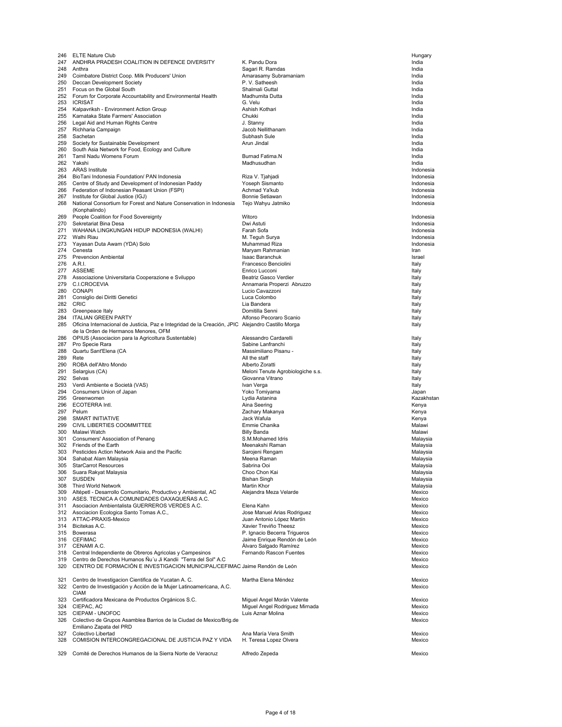| 246 | <b>ELTE Nature Club</b>                                                                               |                                                              | Hungary        |
|-----|-------------------------------------------------------------------------------------------------------|--------------------------------------------------------------|----------------|
| 247 | ANDHRA PRADESH COALITION IN DEFENCE DIVERSITY                                                         | K. Pandu Dora                                                | India          |
|     | 248 Anthra                                                                                            | Sagari R. Ramdas                                             | India          |
| 249 | Coimbatore District Coop. Milk Producers' Union                                                       | Amarasamy Subramaniam                                        | India          |
|     | 250 Deccan Development Society                                                                        | P.V. Satheesh                                                | India          |
|     | 251 Focus on the Global South                                                                         | Shalmali Guttal                                              | India          |
|     | 252 Forum for Corporate Accountability and Environmental Health                                       | Madhumita Dutta                                              | India          |
|     | 253 ICRISAT                                                                                           | G. Velu                                                      | India          |
| 254 | Kalpavriksh - Environment Action Group                                                                | Ashish Kothari                                               | India          |
|     | 255 Karnataka State Farmers' Association                                                              | Chukki                                                       | India          |
|     | 256 Legal Aid and Human Rights Centre                                                                 | J. Stanny                                                    | India          |
| 257 | Richharia Campaign                                                                                    | Jacob Nellithanam                                            | India          |
| 258 | Sachetan                                                                                              | Subhash Sule                                                 | India          |
| 259 | Society for Sustainable Development                                                                   | Arun Jindal                                                  | India          |
| 261 | 260 South Asia Network for Food, Ecology and Culture<br>Tamil Nadu Womens Forum                       | Burnad Fatima.N                                              | India<br>India |
|     | 262 Yakshi                                                                                            | Madhusudhan                                                  | India          |
| 263 | <b>ARAS</b> Institute                                                                                 |                                                              | Indonesia      |
| 264 | BioTani Indonesia Foundation/ PAN Indonesia                                                           | Riza V. Tjahjadi                                             | Indonesia      |
| 265 | Centre of Study and Development of Indonesian Paddy                                                   | Yoseph Sismanto                                              | Indonesia      |
|     | 266 Federation of Indonesian Peasant Union (FSPI)                                                     | Achmad Ya'kub                                                | Indonesia      |
| 267 | Institute for Global Justice (IGJ)                                                                    | Bonnie Setiawan                                              | Indonesia      |
| 268 | National Consortium for Forest and Nature Conservation in Indonesia                                   | Tejo Wahyu Jatmiko                                           | Indonesia      |
|     | (Konphalindo)                                                                                         |                                                              |                |
| 269 | People Coalition for Food Sovereignty                                                                 | Witoro                                                       | Indonesia      |
| 270 | Sekretariat Bina Desa                                                                                 | Dwi Astuti                                                   | Indonesia      |
| 271 | WAHANA LINGKUNGAN HIDUP INDONESIA (WALHI)                                                             | Farah Sofa                                                   | Indonesia      |
|     | 272 Walhi Riau                                                                                        | M. Teguh Surya                                               | Indonesia      |
|     | 273 Yayasan Duta Awam (YDA) Solo                                                                      | Muhammad Riza                                                | Indonesia      |
| 274 | Cenesta                                                                                               | Maryam Rahmanian                                             | Iran           |
|     | 275 Prevencion Ambiental                                                                              | <b>Isaac Baranchuk</b>                                       | Israel         |
|     | 276 A.R.I.                                                                                            | Francesco Benciolini                                         | Italy          |
|     | 277 ASSEME                                                                                            | Enrico Lucconi                                               | Italy          |
|     | 278 Associazione Universitaria Cooperazione e Sviluppo                                                | Beatriz Gasco Verdier                                        | Italy          |
| 279 | C.I.CROCEVIA                                                                                          | Annamaria Properzi Abruzzo                                   | Italy          |
| 280 | <b>CONAPI</b>                                                                                         | Lucio Cavazzoni                                              | Italy          |
| 281 | Consiglio dei Diritti Genetici                                                                        | Luca Colombo                                                 | Italy          |
|     | 282 CRIC                                                                                              | Lia Bandera                                                  | Italy          |
| 283 | Greenpeace Italy                                                                                      | Domitilla Senni                                              | Italy          |
|     | 284 ITALIAN GREEN PARTY                                                                               | Alfonso Pecoraro Scanio                                      | Italy          |
|     | 285 Oficina Internacional de Justicia, Paz e Integridad de la Creación, JPIC Alejandro Castillo Morga |                                                              | Italy          |
|     | de la Orden de Hermanos Menores, OFM                                                                  |                                                              |                |
| 286 | OPIUS (Associacion para la Agricoltura Sustentable)                                                   | Alessandro Cardarelli                                        | Italy          |
| 287 | Pro Specie Rara                                                                                       | Sabine Lanfranchi                                            | Italy          |
| 288 | Quartu Sant'Elena (CA                                                                                 | Massimiliano Pisanu -                                        | Italy          |
| 289 | Rete                                                                                                  | All the staff                                                | Italy          |
| 290 | ROBA dell'Altro Mondo                                                                                 | Alberto Zoratti                                              | Italy          |
|     | 291 Selargius (CA)                                                                                    | Meloni Tenute Agrobiologiche s.s.                            | Italy          |
| 292 | Selvas                                                                                                | Giovanna Vitrano                                             | Italy          |
|     |                                                                                                       |                                                              |                |
| 293 | Verdi Ambiente e Società (VAS)                                                                        | Ivan Verga                                                   | Italy          |
| 294 | Consumers Union of Japan                                                                              | Yoko Tomiyama                                                | Japan          |
| 295 | Greenwomen                                                                                            | Lydia Astanina                                               | Kazakhstan     |
|     | 296 ECOTERRA Intl.                                                                                    | Aina Seering                                                 | Kenya          |
| 297 | Pelum                                                                                                 | Zachary Makanya                                              | Kenya          |
| 298 | SMART INITIATIVE                                                                                      | Jack Wafula                                                  | Kenya          |
| 299 | CIVIL LIBERTIES COOMMITTEE                                                                            | Emmie Chanika                                                | Malawi         |
| 300 | Malawi Watch                                                                                          | <b>Billy Banda</b>                                           | Malawi         |
| 301 | Consumers' Association of Penang                                                                      | S.M.Mohamed Idris                                            | Malaysia       |
| 302 | Friends of the Earth                                                                                  | Meenakshi Raman                                              | Malaysia       |
| 303 | Pesticides Action Network Asia and the Pacific                                                        | Sarojeni Rengam                                              | Malaysia       |
| 304 | Sahabat Alam Malaysia                                                                                 | Meena Raman                                                  | Malaysia       |
| 305 | StarCarrot Resources                                                                                  | Sabrina Ooi                                                  | Malaysia       |
| 306 | Suara Rakyat Malaysia                                                                                 | Choo Chon Kai                                                | Malaysia       |
|     | 307 SUSDEN                                                                                            | <b>Bishan Singh</b>                                          | Malaysia       |
|     | 308 Third World Network                                                                               | Martin Khor                                                  | Malaysia       |
|     | 309 Altépetl - Desarrollo Comunitario, Productivo y Ambiental, AC                                     | Alejandra Meza Velarde                                       | Mexico         |
|     | 310 ASES. TECNICA A COMUNIDADES OAXAQUEÑAS A.C.                                                       |                                                              | Mexico         |
| 311 | Asociacion Ambientalista GUERREROS VERDES A.C.                                                        | Elena Kahn                                                   | Mexico         |
|     | 312 Asociacion Ecologica Santo Tomas A.C.,                                                            | Jose Manuel Arias Rodriguez                                  | Mexico         |
|     | 313 ATTAC-PRAXIS-Mexico                                                                               | Juan Antonio López Martín                                    | Mexico         |
|     | 314 Bicitekas A.C.                                                                                    | Xavier Treviño Theesz                                        | Mexico         |
|     | 315 Bowerasa                                                                                          | P. Ignacio Becerra Trigueros                                 | Mexico         |
|     | 316 CEFIMAC                                                                                           | Jaime Enrique Rendón de León                                 | Mexico         |
|     | 317 CENAMI A.C.                                                                                       | Alvaro Salgado Ramírez                                       | Mexico         |
| 318 | Central Independiente de Obreros Agricolas y Campesinos                                               | Fernando Rascon Fuentes                                      | Mexico         |
| 319 | Centro de Derechos Humanos Nu'u Ji Kandii "Terra del Sol" A.C                                         |                                                              | Mexico         |
| 320 | CENTRO DE FORMACIÓN E INVESTIGACION MUNICIPAL/CEFIMAC Jaime Rendón de León                            |                                                              | Mexico         |
|     |                                                                                                       |                                                              |                |
| 321 | Centro de Investigacion Científica de Yucatan A. C.                                                   | Martha Elena Méndez                                          | Mexico         |
|     | 322 Centro de Investigación y Acción de la Mujer Latinoamericana, A.C.                                |                                                              | Mexico         |
|     | <b>CIAM</b><br>323 Certificadora Mexicana de Productos Orgánicos S.C.                                 |                                                              | Mexico         |
|     | 324 CIEPAC, AC                                                                                        | Miguel Angel Morán Valente<br>Miguel Angel Rodriguez Mirnada | Mexico         |
| 325 | CIEPAM - UNOFOC                                                                                       | Luis Aznar Molina                                            | Mexico         |
|     | 326 Colectivo de Grupos Asamblea Barrios de la Ciudad de Mexico/Brig.de                               |                                                              | Mexico         |
|     | Emiliano Zapata del PRD                                                                               |                                                              |                |
| 327 | Colectivo Libertad                                                                                    | Ana María Vera Smith                                         | Mexico         |
| 328 | COMISION INTERCONGREGACIONAL DE JUSTICIA PAZ Y VIDA                                                   | H. Teresa Lopez Olvera                                       | Mexico         |
|     |                                                                                                       |                                                              |                |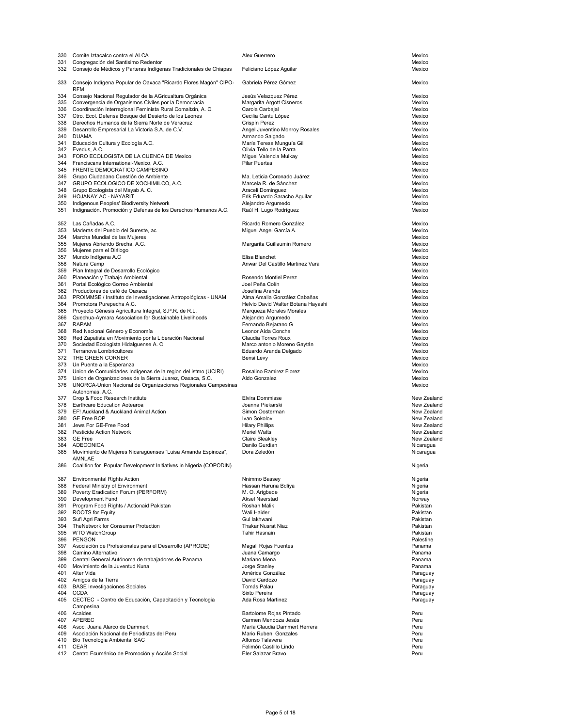| 331 | Comite Iztacalco contra el ALCA                                                                                        | Alex Guerrero                                                      | Mexico             |
|-----|------------------------------------------------------------------------------------------------------------------------|--------------------------------------------------------------------|--------------------|
|     | Congregación del Santisimo Redentor<br>332 Consejo de Médicos y Parteras Indígenas Tradicionales de Chiapas            | Feliciano López Aguilar                                            | Mexico<br>Mexico   |
|     |                                                                                                                        |                                                                    |                    |
| 333 | Consejo Indígena Popular de Oaxaca "Ricardo Flores Magón" CIPO-                                                        | Gabriela Pérez Gómez                                               | Mexico             |
|     | <b>RFM</b>                                                                                                             |                                                                    |                    |
|     | 334 Consejo Nacional Regulador de la AGricualtura Orgánica<br>335 Convergencia de Organismos Civiles por la Democracia | Jesús Velazquez Pérez<br>Margarita Argott Cisneros                 | Mexico<br>Mexico   |
|     | 336 Coordinación Interregional Feminista Rural Comaltzin, A. C.                                                        | Carola Carbajal                                                    | Mexico             |
|     | 337 Ctro. Ecol. Defensa Bosque del Desierto de los Leones                                                              | Cecilia Cantu López                                                | Mexico             |
|     | 338 Derechos Humanos de la Sierra Norte de Veracruz                                                                    | Crispín Perez                                                      | Mexico             |
|     | 339 Desarrollo Empresarial La Victoria S.A. de C.V.                                                                    | Angel Juventino Monroy Rosales                                     | Mexico             |
|     | 340 DUAMA                                                                                                              | Armando Salgado                                                    | Mexico             |
|     | 341 Educación Cultura y Ecología A.C.                                                                                  | María Teresa Munguía Gil                                           | Mexico             |
|     | 342 Evedus, A.C.                                                                                                       | Olivia Tello de la Parra                                           | Mexico             |
|     | 343 FORO ECOLOGISTA DE LA CUENCA DE Mexico                                                                             | Miquel Valencia Mulkay                                             | Mexico             |
|     | 344 Franciscans International-Mexico, A.C.<br>345 FRENTE DEMOCRATICO CAMPESINO                                         | <b>Pilar Puertas</b>                                               | Mexico<br>Mexico   |
|     | 346 Grupo Ciudadano Cuestión de Ambiente                                                                               | Ma. Leticia Coronado Juárez                                        | Mexico             |
|     | 347 GRUPO ECOLOGICO DE XOCHIMILCO, A.C.                                                                                | Marcela R. de Sánchez                                              | Mexico             |
|     | 348 Grupo Ecologista del Mayab A. C.                                                                                   | Araceli Dominguez                                                  | Mexico             |
|     | 349 HOJANAY AC - NAYARIT                                                                                               | Erik Eduardo Saracho Aguilar                                       | Mexico             |
|     | 350 Indigenous Peoples' Biodiversity Network                                                                           | Alejandro Argumedo                                                 | Mexico             |
|     | 351 Indignación. Promoción y Defensa de los Derechos Humanos A.C.                                                      | Raúl H. Lugo Rodríguez                                             | Mexico             |
|     |                                                                                                                        |                                                                    |                    |
|     | 352 Las Cañadas A.C.<br>353 Maderas del Pueblo del Sureste, ac                                                         | Ricardo Romero González<br>Miguel Angel García A.                  | Mexico<br>Mexico   |
|     | 354 Marcha Mundial de las Mujeres                                                                                      |                                                                    | Mexico             |
| 355 | Mujeres Abriendo Brecha, A.C.                                                                                          | Margarita Guillaumin Romero                                        | Mexico             |
|     | 356 Mujeres para el Diálogo                                                                                            |                                                                    | Mexico             |
| 357 | Mundo Indígena A.C                                                                                                     | Elisa Blanchet                                                     | Mexico             |
|     | 358 Natura Camp                                                                                                        | Anwar Del Castillo Martinez Vara                                   | Mexico             |
|     | 359 Plan Integral de Desarrollo Ecológico                                                                              |                                                                    | Mexico             |
|     | 360 Planeación y Trabajo Ambiental                                                                                     | Rosendo Montiel Perez                                              | Mexico             |
| 361 | Portal Ecológico Correo Ambiental                                                                                      | Joel Peña Colín                                                    | Mexico             |
|     | 362 Productores de café de Oaxaca                                                                                      | Josefina Aranda                                                    | Mexico<br>Mexico   |
| 364 | 363 PROIMMSE / Instituto de Investigaciones Antropológicas - UNAM<br>Promotora Purepecha A.C.                          | Alma Amalia González Cabañas<br>Helvio David Walter Botana Hayashi | Mexico             |
| 365 | Proyecto Génesis Agricultura Integral, S.P.R. de R.L.                                                                  | Marqueza Morales Morales                                           | Mexico             |
| 366 | Quechua-Aymara Association for Sustainable Livelihoods                                                                 | Alejandro Argumedo                                                 | Mexico             |
|     | 367 RAPAM                                                                                                              | Fernando Bejarano G                                                | Mexico             |
|     | 368 Red Nacional Género y Economía                                                                                     | Leonor Aída Concha                                                 | Mexico             |
|     | 369 Red Zapatista en Movimiento por la Liberación Nacional                                                             | Claudia Torres Roux                                                | Mexico             |
|     | 370 Sociedad Ecologista Hidalguense A. C                                                                               | Marco antonio Moreno Gaytán                                        | Mexico             |
|     | 371 Terranova Lombricultores                                                                                           | Eduardo Aranda Delgado                                             | Mexico             |
|     | 372 THE GREEN CORNER                                                                                                   | Bensi Levy                                                         | Mexico<br>Mexico   |
|     | 373 Un Puente a la Esperanza<br>374 Union de Comunidades Indígenas de la region del istmo (UCIRI)                      | Rosalino Ramirez Florez                                            | Mexico             |
|     | 375 Union de Organizaciones de la Sierra Juarez, Oaxaca, S.C.                                                          | Aldo Gonzalez                                                      | Mexico             |
|     | 376 UNORCA-Union Nacional de Organizaciones Regionales Campesinas                                                      |                                                                    | Mexico             |
|     | Autonomas, A.C.                                                                                                        |                                                                    |                    |
|     | 377 Crop & Food Research Institute                                                                                     | Elvira Dommisse                                                    | New Zealand        |
|     |                                                                                                                        | Joanna Piekarski                                                   | New Zealand        |
|     | 378 Earthcare Education Aotearoa                                                                                       |                                                                    | New Zealand        |
|     | 379 EF! Auckland & Auckland Animal Action                                                                              | Simon Oosterman                                                    |                    |
|     | 380 GE Free BOP                                                                                                        | Ivan Sokolov                                                       | New Zealand        |
| 381 | Jews For GE-Free Food                                                                                                  | <b>Hilary Phillips</b>                                             | New Zealand        |
|     | 382 Pesticide Action Network                                                                                           | <b>Meriel Watts</b>                                                | New Zealand        |
|     | 383 GE Free                                                                                                            | Claire Bleakley                                                    | New Zealand        |
|     | 384 ADECONICA                                                                                                          | Danilo Gurdian<br>Dora Zeledón                                     | Nicaragua          |
|     | 385 Movimiento de Mujeres Nicaragüenses "Luisa Amanda Espinoza",<br>AMNLAE                                             |                                                                    | Nicaragua          |
| 386 | Coalition for Popular Development Initiatives in Nigeria (COPODIN)                                                     |                                                                    | Nigeria            |
|     |                                                                                                                        |                                                                    |                    |
| 387 | <b>Environmental Rights Action</b>                                                                                     | Nnimmo Bassey                                                      | Nigeria            |
| 388 | Federal Ministry of Environment                                                                                        | Hassan Haruna Bdliya                                               | Nigeria            |
| 389 | Poverty Eradication Forum (PERFORM)                                                                                    | M. O. Arigbede<br>Aksel Naerstad                                   | Nigeria            |
| 390 | Development Fund<br>391 Program Food Rights / Actionaid Pakistan                                                       | Roshan Malik                                                       | Norway<br>Pakistan |
|     | 392 ROOTS for Equity                                                                                                   | Wali Haider                                                        | Pakistan           |
|     | 393 Sufi Agri Farms                                                                                                    | Gul lakhwani                                                       | Pakistan           |
|     | 394 TheNetwork for Consumer Protection                                                                                 | Thakar Nusrat Niaz                                                 | Pakistan           |
|     | 395 WTO WatchGroup                                                                                                     | Tahir Hasnain                                                      | Pakistan           |
|     | 396 PENGON                                                                                                             |                                                                    | Palestine          |
|     | 397 Asociación de Profesionales para el Desarrollo (APRODE)                                                            | Magali Rojas Fuentes                                               | Panama             |
|     | 398 Camino Alternativo                                                                                                 | Juana Camargo                                                      | Panama<br>Panama   |
|     | 399 Central General Autónoma de trabajadores de Panama<br>400 Movimiento de la Juventud Kuna                           | Mariano Mena<br>Jorge Stanley                                      | Panama             |
|     | 401 Alter Vida                                                                                                         | América González                                                   | Paraguay           |
|     | 402 Amigos de la Tierra                                                                                                | David Cardozo                                                      | Paraguay           |
|     | 403 BASE Investigaciones Sociales                                                                                      | Tomás Palau                                                        | Paraguay           |
|     | 404 CCDA                                                                                                               | Sixto Pereira                                                      | Paraguay           |
|     | 405 CECTEC - Centro de Educación, Capacitación y Tecnologia                                                            | Ada Rosa Martinez                                                  | Paraguay           |
|     | Campesina                                                                                                              |                                                                    |                    |
|     | 406 Acaides                                                                                                            | Bartolome Rojas Pintado                                            | Peru               |
|     | 407 APEREC<br>408 Asoc. Juana Alarco de Dammert                                                                        | Carmen Mendoza Jesús<br>María Claudia Dammert Herrera              | Peru<br>Peru       |
|     | 409 Asociación Nacional de Periodistas del Peru                                                                        | Mario Ruben Gonzales                                               | Peru               |
|     | 410 Bio Tecnologia Ambiental SAC                                                                                       | Alfonso Talavera                                                   | Peru               |
| 411 | CEAR                                                                                                                   | Felimón Castillo Lindo                                             | Peru               |
|     | 412 Centro Ecuménico de Promoción y Acción Social                                                                      | Eler Salazar Bravo                                                 | Peru               |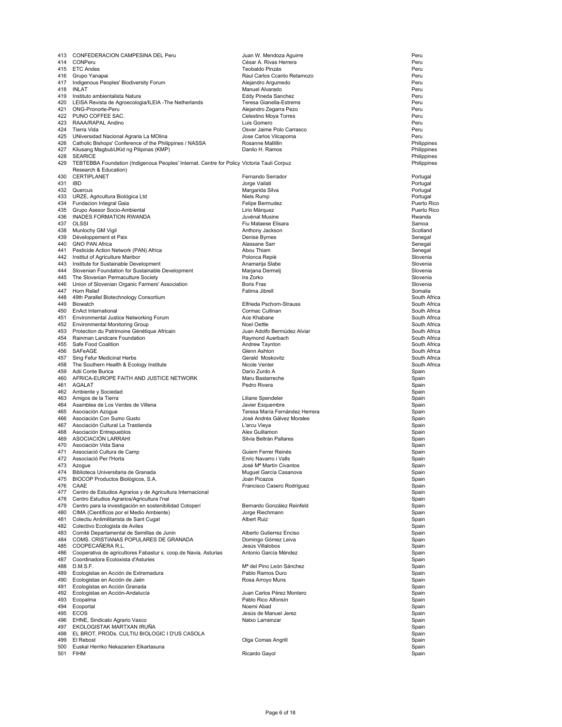| 413     | CONFEDERACION CAMPESINA DEL Peru                                                                             | Juan W. Mendoza Aguirre                   | Peru                         |
|---------|--------------------------------------------------------------------------------------------------------------|-------------------------------------------|------------------------------|
| 414     | CONPeru                                                                                                      | César A. Rivas Herrera                    | Peru                         |
|         | 415 ETC Andes                                                                                                | Teobaldo Pinzás                           | Peru                         |
| 416     | Grupo Yanapai<br>Indigenous Peoples' Biodiversity Forum                                                      | Raul Carlos Ccanto Retamozo               | Peru                         |
| 417     | 418 INLAT                                                                                                    | Alejandro Argumedo<br>Manuel Alvarado     | Peru<br>Peru                 |
| 419     | Instituto ambientalista Natura                                                                               | Eddy Pineda Sanchez                       | Peru                         |
|         | 420 LEISA Revista de Agroecologia/ILEIA - The Netherlands                                                    | Teresa Gianella-Estrems                   | Peru                         |
| 421     | ONG-Pronorte-Peru                                                                                            | Alejandro Zegarra Pezo                    | Peru                         |
|         | 422 PUNO COFFEE SAC.                                                                                         | Celestino Moya Torres                     | Peru                         |
| 423     | RAAA/RAPAL Andino                                                                                            | Luis Gomero                               | Peru                         |
|         | 424 Tierra Vida                                                                                              | Osver Jaime Polo Carrasco                 | Peru                         |
|         | 425 UNiversidad Nacional Agraria La MOlina                                                                   | Jose Carlos Vilcapoma                     | Peru                         |
|         | 426 Catholic Bishops' Conference of the Philippines / NASSA                                                  | Rosanne Mallillin<br>Danilo H. Ramos      | Philippines                  |
|         | 427 Kilusang MagbubUKid ng Pilipinas (KMP)<br>428 SEARICE                                                    |                                           | Philippines<br>Philippines   |
|         | 429 TEBTEBBA Foundation (Indigenous Peoples' Internat. Centre for Policy Victoria Tauli Corpuz               |                                           | Philippines                  |
|         | Research & Education)                                                                                        |                                           |                              |
| 430     | CERTIPLANET                                                                                                  | Fernando Serrador                         | Portugal                     |
| 431 IBD |                                                                                                              | Jorge Vailati                             | Portugal                     |
|         | 432 Quercus                                                                                                  | Margarida Silva                           | Portugal                     |
|         | 433 URZE, Agricultura Biológica Ltd                                                                          | Niels Rump                                | Portugal                     |
|         | 434 Fundacion Integral Gaia<br>435 Grupo Asesor Socio-Ambiental                                              | Felipe Bermudez<br>Lirio Márquez          | Puerto Rico<br>Puerto Rico   |
|         | 436 INADES FORMATION RWANDA                                                                                  | Juvénal Musine                            | Rwanda                       |
| 437     | OLSSI                                                                                                        | Fiu Mataese Elisara                       | Samoa                        |
| 438     | Munlochy GM Vigil                                                                                            | Anthony Jackson                           | Scotland                     |
|         | 439 Développement et Paix                                                                                    | Denise Byrnes                             | Senegal                      |
|         | 440 GNO PAN Africa                                                                                           | Alassane Sarr                             | Senegal                      |
| 441     | Pesticide Action Network (PAN) Africa                                                                        | Abou Thiam                                | Senegal                      |
| 443     | 442 Institut of Agriculture Maribor<br>Institute for Sustainable Development                                 | Polonca Repiè<br>Anamarija Slabe          | Slovenia<br>Slovenia         |
| 444     | Slovenian Foundation for Sustainable Development                                                             | Marjana Dermelj                           | Slovenia                     |
| 445     | The Slovenian Permaculture Society                                                                           | Ira Zorko                                 | Slovenia                     |
| 446     | Union of Slovenian Organic Farmers' Association                                                              | <b>Boris Fras</b>                         | Slovenia                     |
| 447     | Horn Relief                                                                                                  | Fatima Jibrell                            | Somalia                      |
| 448     | 49th Parallel Biotechnology Consortium                                                                       |                                           | South Africa                 |
|         | 449 Biowatch                                                                                                 | Elfrieda Pschorn-Strauss                  | South Africa                 |
|         | 450 EnAct International                                                                                      | Cormac Cullinan                           | South Africa                 |
|         | 451 Environmental Justice Networking Forum                                                                   | Ace Khabane<br>Noel Oettle                | South Africa<br>South Africa |
|         | 452 Environmental Monitoring Group<br>453 Protection du Patrimoine Génétique Africain                        | Juan Adolfo Bermúdez Alviar               | South Africa                 |
| 454     | Rainman Landcare Foundation                                                                                  | Raymond Auerbach                          | South Africa                 |
|         | 455 Safe Food Coalition                                                                                      | Andrew Taynton                            | South Africa                 |
|         | 456 SAFeAGE                                                                                                  | Glenn Ashton                              | South Africa                 |
| 457     | Sing Fefur Medicinal Herbs                                                                                   | Gerald Moskovitz                          | South Africa                 |
|         | 458 The Southern Health & Ecology Institute                                                                  | Nicole Venter                             | South Africa                 |
| 459     | Adii Conte Burica                                                                                            | Darío Zurdo A                             | Spain                        |
|         | 460 AFRICA-EUROPE FAITH AND JUSTICE NETWORK<br>461 AGALAT                                                    | Maru Bastarreche<br>Pedro Rivera          | Spain                        |
|         | 462 Ambiente y Sociedad                                                                                      |                                           | Spain<br>Spain               |
|         | 463 Amigos de la Tierra                                                                                      | Liliane Spendeler                         | Spain                        |
|         | 464 Asamblea de Los Verdes de Villena                                                                        | Javier Esquembre                          | Spain                        |
|         | 465 Asociación Azoque                                                                                        | Teresa María Fernández Herrera            | Spain                        |
|         | 466 Asociación Con Sumo Gusto                                                                                | José Andrés Gálvez Morales                | Spain                        |
|         | 467 Asociación Cultural La Trastienda                                                                        | L'arcu Vieya                              | Spain                        |
|         | 468 Asociación Entrepueblos<br>469 ASOCIACIÓN LARRAHI                                                        | Alex Guillamon<br>Silvia Beltrán Pallares | Spain                        |
|         | 470 Asociación Vida Sana                                                                                     |                                           | Spain<br>Spain               |
|         | 471 Associació Cultura de Camp                                                                               | Guiem Ferrer Reinés                       | Spain                        |
|         | 472 Associació Per l'Horta                                                                                   | Enric Navarro i Valls                     | Spain                        |
|         | 473 Azogue                                                                                                   | José M <sup>ª</sup> Martin Civantos       | Spain                        |
| 474     | Biblioteca Universitaria de Granada                                                                          | Muguel García Casanova                    | Spain                        |
|         | 475 BIOCOP Productos Biológicos, S.A.                                                                        | Joan Picazos                              | Spain                        |
|         | 476 CAAE                                                                                                     | Francisco Casero Rodríguez                | Spain                        |
| 477     | Centro de Estudios Agrarios y de Agricultura Internacional<br>478 Centro Estudios Agrarios/Agricultura l'nal |                                           | Spain<br>Spain               |
|         | 479 Centro para la investigación en sostenibilidad Cotoperí                                                  | Bernardo González Reinfeld                | Spain                        |
|         | 480 CIMA (Científicos por el Medio Ambiente)                                                                 | Jorge Riechmann                           | Spain                        |
|         | 481 Colectiu Antimilitarista de Sant Cugat                                                                   | <b>Albert Ruiz</b>                        | Spain                        |
|         | 482 Colectivo Ecologista de Aviles                                                                           |                                           | Spain                        |
|         | 483 Comité Departamental de Semillas de Junin                                                                | Alberto Gutierrez Enciso                  | Spain                        |
|         | 484 COMS. CRISTIANAS POPULARES DE GRANADA                                                                    | Domingo Gómez Leiva                       | Spain                        |
|         | 485 COOPECAÑERA R.L.                                                                                         | Jesús Villalobos                          | Spain                        |
| 486     | Cooperativa de agricultores Fabastur s. coop.de Navia, Asturias<br>487 Coordinadora Ecoloxista d'Asturies    | Antonio García Méndez                     | Spain<br>Spain               |
|         | 488 D.M.S.F.                                                                                                 | Mª del Pino León Sánchez                  | Spain                        |
|         | 489 Ecologistas en Acción de Extremadura                                                                     | Pablo Ramos Duro                          | Spain                        |
|         | 490 Ecologistas en Acción de Jaén                                                                            | Rosa Arroyo Muns                          | Spain                        |
|         | 491 Ecologistas en Acción Granada                                                                            |                                           | Spain                        |
|         | 492 Ecologistas en Acción-Andalucía                                                                          | Juan Carlos Pérez Montero                 | Spain                        |
|         | 493 Ecopalma                                                                                                 | Pablo Rico Alfonsín<br>Noemi Abad         | Spain                        |
| 495     | 494 Ecoportal<br>ECOS                                                                                        | Jesús de Manuel Jerez                     | Spain<br>Spain               |
|         | 496 EHNE, Sindicato Agrario Vasco                                                                            | Natxo Larrainzar                          | Spain                        |
| 497     | EKOLOGISTAK MARTXAN IRUÑA                                                                                    |                                           | Spain                        |
|         | 498 EL BROT, PRODS. CULTIU BIOLOGIC I D'US CASOLA                                                            |                                           | Spain                        |
|         | 499 El Rebost                                                                                                | Olga Comas Angrill                        | Spain                        |
|         | 500 Euskal Herriko Nekazarien Elkartasuna                                                                    |                                           | Spain                        |
| 501     | <b>FIHM</b>                                                                                                  | Ricardo Gayol                             | Spain                        |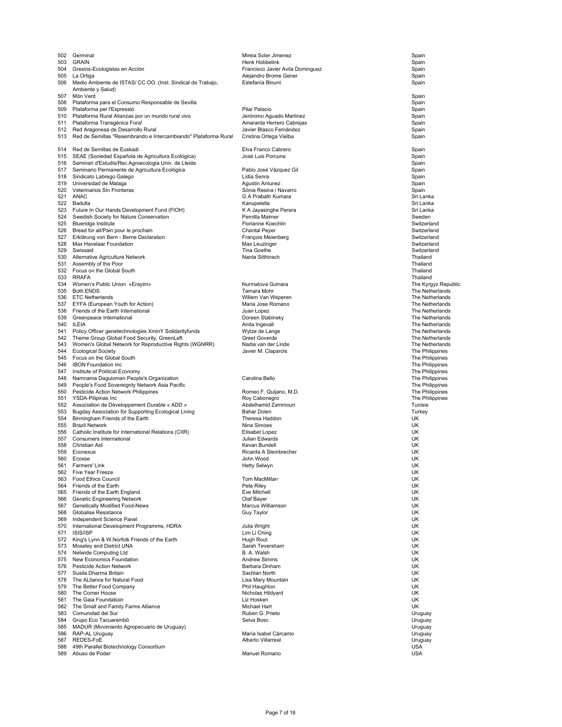| 502        | Germinal                                                                        | Mireia Soler Jimenez                      | Spain                                  |
|------------|---------------------------------------------------------------------------------|-------------------------------------------|----------------------------------------|
| 503        | <b>GRAIN</b>                                                                    | Henk Hobbelink                            | Spain                                  |
| 504        | Gresins-Ecologistas en Acción                                                   | Francisco Javier Avila Dominguez          | Spain                                  |
| 505        | La Ortiga                                                                       | Alejandro Brome Gener                     | Spain                                  |
|            | 506 Medio Ambiente de ISTAS/ CC.OO. (Inst. Sindical de Trabajo,                 | Estefanía Blount                          | Spain                                  |
|            | Ambiente y Salud)                                                               |                                           |                                        |
| 507        | Món Verd                                                                        |                                           | Spain                                  |
| 508        | Plataforma para el Consumo Responsable de Sevilla                               |                                           | Spain                                  |
| 509<br>510 | Plataforma per l'Expressió<br>Plataforma Rural Alianzas por un mundo rural vivo | Pilar Palacio<br>Jerónimo Aguado Martinez | Spain<br>Spain                         |
|            | 511 Plataforma Transgènics Fora!                                                | Amaranta Herrero Cabrejas                 | Spain                                  |
|            | 512 Red Aragonesa de Desarrollo Rural                                           | Javier Blasco Fernández                   | Spain                                  |
| 513        | Red de Semillas "Resembrando e Intercambiando" Plataforma Rural                 | Cristina Ortega Vielba                    | Spain                                  |
|            |                                                                                 |                                           |                                        |
| 514        | Red de Semillas de Euskadi                                                      | Elva Franco Cabrero                       | Spain                                  |
| 515        | SEAE (Sociedad Española de Agricultura Ecológica)                               | José Luis Porcuna                         | Spain                                  |
| 516        | Seminari d'Estudis/Rec.Agroecologia Univ. de Lleida                             |                                           | Spain                                  |
| 517        | Seminario Permanente de Agricultura Ecológica                                   | Pablo José Vázquez Gil                    | Spain                                  |
| 518        | Sindicato Labrego Galego                                                        | Lídia Senra                               | Spain                                  |
| 519        | Universidad de Malaga                                                           | <b>Agustin Antunez</b>                    | Spain                                  |
| 520        | Veterinarios Sin Fronteras                                                      | Sònia Resina i Navarro                    | Spain                                  |
| 521        | ANAC                                                                            | G A Prabath Kumara                        | Sri Lanka                              |
|            | 522 Badulla                                                                     | Kanupelella                               | Sri Lanka                              |
| 523        | Future In Our Hands Development Fund (FIOH)                                     | K A Jayasinghe Perera                     | Sri Lanka                              |
| 524        | Swedish Society for Nature Conservation                                         | Pernilla Malmer                           | Sweden                                 |
| 525        | <b>Blueridge Institute</b>                                                      | Florianne Koechlin                        | Switzerland                            |
| 526        | Bread for all/Pain pour le prochain                                             | <b>Chantal Peyer</b>                      | Switzerland                            |
| 527        | Erklärung von Bern - Berne Declaration                                          | François Meienberg                        | Switzerland                            |
| 528        | Max Havelaar Foundation                                                         | Max Leuzinger                             | Switzerland                            |
| 529        | Swissaid                                                                        | Tina Goethe                               | Switzerland                            |
| 530        | Alternative Agriculture Network                                                 | Nanta Sitthirach                          | Thailand                               |
| 531        | Assembly of the Poor                                                            |                                           | Thailand                               |
| 532        | Focus on the Global South                                                       |                                           | Thailand                               |
|            | 533 RRAFA                                                                       | Nurmatova Gulnara                         | Thailand                               |
|            | 534 Women's Public Union «Erayim»<br>535 Both ENDS                              | Tamara Mohr                               | The Kyrgyz Republic<br>The Netherlands |
|            | 536 ETC Netherlands                                                             | Willem Van Weperen                        | The Netherlands                        |
| 537        | EYFA (European Youth for Action)                                                | Maria Jose Romano                         | The Netherlands                        |
| 538        | Friends of the Earth International                                              | Juan Lopez                                | The Netherlands                        |
| 539        | Greenpeace International                                                        | Doreen Stabinsky                          | The Netherlands                        |
| 540        | ILEIA                                                                           | Anita Ingevall                            | The Netherlands                        |
| 541        | Policy Officer genetechnologies XminY Solidarityfunds                           | Wytze de Lange                            | The Netherlands                        |
| 542        | Theme Group Global Food Security, GreenLeft                                     | Greet Goverde                             | The Netherlands                        |
| 543        | Women's Global Network for Reproductive Rights (WGNRR)                          | Nadia van der Linde                       | The Netherlands                        |
| 544        | <b>Ecological Society</b>                                                       | Javier M. Claparols                       | The Philippines                        |
| 545        | Focus on the Global South                                                       |                                           | The Philippines                        |
| 546        | <b>IBON Foundation Inc.</b>                                                     |                                           | The Philippines                        |
| 547        | Institute of Political Economy                                                  |                                           | The Philippines                        |
| 548        | Namnama Daguioman People's Organization                                         | Carolina Bello                            | The Philippines                        |
| 549        | People's Food Sovereignty Network Asia Pacific                                  |                                           | The Philippines                        |
| 550        | Pesticide Action Network Philippines                                            | Romeo F. Quijano, M.D.                    | The Philippines                        |
|            | YSDA-Pilipinas Inc                                                              | Roy Cabonegro                             | The Philippines                        |
| 551        |                                                                                 | Abdelhamid Zammouri                       |                                        |
| 552        | Association de Développement Durable « ADD »                                    |                                           | Tunisie                                |
| 553        | Bugday Association for Supporting Ecological Living                             | <b>Bahar Dolen</b>                        | Turkey                                 |
| 554        | Birmingham Friends of the Earth                                                 | Theresa Haddon                            | UK                                     |
| 555        | <b>Brazil Network</b>                                                           | Nina Simoes                               | UK                                     |
| 556        | Catholic Institute for International Relations (CIIR)                           | Elisabet Lopez                            | UK                                     |
| 557        | Consumers International                                                         | Julian Edwards                            | UK                                     |
| 558        | Christian Aid                                                                   | Kevan Bundell                             | UK                                     |
| 559        | Econexus                                                                        | Ricarda A Steinbrecher                    | UK                                     |
| 560<br>561 | Ecosse<br>Farmers' Link                                                         | John Wood<br>Hetty Selwyn                 | UK<br>UK                               |
| 562        | Five Year Freeze                                                                |                                           | UK                                     |
| 563        | <b>Food Ethics Council</b>                                                      | Tom MacMillan                             | UK                                     |
| 564        | Friends of the Earth                                                            | Pete Riley                                | UK                                     |
|            | 565 Friends of the Earth England                                                | Eve Mitchell                              | UK                                     |
| 566        | <b>Genetic Engineering Network</b>                                              | Olaf Bayer                                | UK                                     |
| 567        | Genetically Modified Food-News                                                  | Marcus Williamson                         | UK                                     |
| 568        | Globalise Resistance                                                            | Guy Taylor                                | UK                                     |
| 569        | Independent Science Panel                                                       |                                           | UK                                     |
| 570        | International Development Programme, HDRA                                       | Julia Wright                              | UK                                     |
| 571        | ISIS/ISP                                                                        | Lim Li Ching                              | UK                                     |
| 572        | King's Lynn & W, Norfolk Friends of the Earth                                   | Hugh Rout                                 | UK                                     |
| 573        | Moseley and District UNA                                                        | Sarah Teversham                           | UK                                     |
| 574        | Netwide Computing Ltd                                                           | B. A. Walsh                               | UK                                     |
| 575        | New Economics Foundation                                                        | <b>Andrew Simms</b>                       | UK                                     |
| 576        | <b>Pesticide Action Network</b>                                                 | Barbara Dinham                            | UK                                     |
| 577        | Susila Dharma Britain                                                           | Sachlan North                             | UK                                     |
| 578        | The ALliance for Natural Food                                                   | Lisa Mary Mountain                        | UK<br>UK                               |
| 580        | 579 The Better Food Company<br>The Corner House                                 | Phil Haughton<br>Nicholas Hildyard        | UK                                     |
| 581        | The Gaia Foundatioin                                                            | Liz Hosken                                | UK                                     |
| 582        | The Small and Family Farms Alliance                                             | Michael Hart                              | UK                                     |
| 583        | Comunidad del Sur                                                               | Ruben G. Prieto                           | Uruguay                                |
| 584        | Grupo Eco Tacuarembö                                                            | Selva Bosc                                | Uruguay                                |
| 585        | MADUR (Movimiento Agropecuario de Uruguay)                                      |                                           | Uruguay                                |
| 586        | RAP-AL Uruguay                                                                  | María Isabel Cárcamo                      | Uruguay                                |
| 587        | REDES-FoE                                                                       | Alberto Villarreal                        | Uruguay                                |
| 588<br>589 | 49th Parallel Biotechnology Consortium<br>Abuso de Poder                        | Manuel Romano                             | <b>USA</b><br><b>USA</b>               |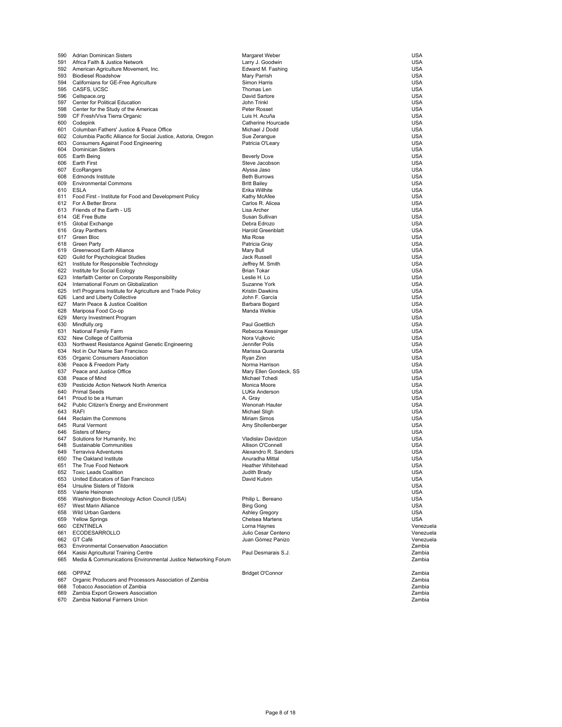| 590 | Adrian Dominican Sisters                                          | Margaret Weber                       | USA        |
|-----|-------------------------------------------------------------------|--------------------------------------|------------|
| 591 | Africa Faith & Justice Network                                    | Larry J. Goodwin                     | USA        |
|     | 592 American Agriculture Movement, Inc.                           | Edward M. Fashing                    | <b>USA</b> |
|     | 593 Biodiesel Roadshow                                            | Mary Parrish                         | <b>USA</b> |
|     | 594 Californians for GE-Free Agriculture                          | Simon Harris                         | USA        |
|     | 595 CASFS, UCSC                                                   | Thomas Len                           | USA        |
|     | 596 Cellspace.org                                                 | David Sartore                        | USA        |
|     | 597 Center for Political Education                                | John Trinkl                          | USA        |
|     | 598 Center for the Study of the Americas                          | Peter Rosset                         | USA        |
|     | 599 CF Fresh/Viva Tierra Organic                                  | Luis H. Acuña                        | USA        |
|     | 600 Codepink                                                      | Catherine Hourcade                   | USA        |
|     | 601 Columban Fathers' Justice & Peace Office                      | Michael J Dodd                       | <b>USA</b> |
|     | 602 Columbia Pacific Alliance for Social Justice, Astoria, Oregon | Sue Zerangue                         | <b>USA</b> |
|     |                                                                   |                                      | USA        |
|     | 603 Consumers Against Food Engineering<br>604 Dominican Sisters   | Patricia O'Leary                     | <b>USA</b> |
|     |                                                                   |                                      |            |
|     | 605 Earth Being                                                   | <b>Beverly Dove</b>                  | USA        |
|     | 606 Earth First                                                   | Steve Jacobson                       | USA        |
|     | 607 EcoRangers                                                    | Alyssa Jaso                          | USA        |
| 608 | Edmonds Institute                                                 | <b>Beth Burrows</b>                  | USA        |
|     | 609 Environmental Commons                                         | <b>Britt Bailey</b>                  | <b>USA</b> |
|     | 610 ESLA                                                          | Erika Willhite                       | <b>USA</b> |
|     | 611 Food First - Institute for Food and Development Policy        | Kathy McAfee                         | USA        |
|     | 612 For A Better Bronx                                            | Carlos R. Alicea                     | USA        |
|     | 613 Friends of the Earth - US                                     | Lisa Archer                          | USA        |
|     | 614 GE Free Butte                                                 | Susan Sullivan                       | USA        |
|     | 615 Global Exchange                                               | Debra Edrozo                         | USA        |
|     | 616 Gray Panthers                                                 | <b>Harold Greenblatt</b>             | USA        |
|     | 617 Green Bloc                                                    | Mia Rose                             | <b>USA</b> |
|     | 618 Green Party                                                   | Patricia Gray                        | <b>USA</b> |
|     | 619 Greenwood Earth Alliance                                      | Mary Bull                            | USA        |
|     | 620 Guild for Psychological Studies                               | Jack Russell                         | <b>USA</b> |
|     | 621 Institute for Responsible Technology                          | Jeffrey M. Smith                     | USA        |
|     |                                                                   |                                      |            |
|     | 622 Institute for Social Ecology                                  | <b>Brian Tokar</b>                   | USA        |
|     | 623 Interfaith Center on Corporate Responsibility                 | Leslie H. Lo                         | USA        |
|     | 624 International Forum on Globalization                          | Suzanne York                         | <b>USA</b> |
|     | 625 Int'l Programs Institute for Agriculture and Trade Policy     | <b>Kristin Dawkins</b>               | USA        |
|     | 626 Land and Liberty Collective                                   | John F. García                       | <b>USA</b> |
| 627 | Marin Peace & Justice Coalition                                   | Barbara Bogard                       | <b>USA</b> |
|     | 628 Mariposa Food Co-op                                           | Manda Welkie                         | USA        |
| 629 | Mercy Investment Program                                          |                                      | <b>USA</b> |
|     | 630 Mindfully.org                                                 | Paul Goettlich                       | USA        |
| 631 | National Family Farm                                              | Rebecca Kessinger                    | USA        |
|     | 632 New College of California                                     | Nora Vujkovic                        | USA        |
|     | 633 Northwest Resistance Against Genetic Engineering              | Jennifer Polis                       | <b>USA</b> |
| 634 | Not in Our Name San Francisco                                     | Marissa Quaranta                     | <b>USA</b> |
|     | 635 Organic Consumers Association                                 | Ryan Zinn                            | <b>USA</b> |
|     | 636 Peace & Freedom Party                                         | Norma Harrison                       | USA        |
|     | 637 Peace and Justice Office                                      | Mary Ellen Gondeck, SS               | USA        |
| 638 | Peace of Mind                                                     | Michael Tchedi                       | <b>USA</b> |
| 639 | Pesticide Action Network North America                            | Monica Moore                         | USA        |
|     | 640 Primal Seeds                                                  | LUKe Anderson                        | USA        |
|     | 641 Proud to be a Human                                           | A. Gray                              | USA        |
|     |                                                                   | Wenonah Hauter                       | <b>USA</b> |
|     | 642 Public Citizen's Energy and Environment                       |                                      | <b>USA</b> |
|     | 643 RAFI<br>644 Reclaim the Commons                               | Michael Sligh<br><b>Miriam Simos</b> |            |
|     |                                                                   |                                      | USA        |
|     | 645 Rural Vermont                                                 | Amy Shollenberger                    | USA        |
|     | 646 Sisters of Mercy                                              |                                      | USA        |
|     | 647 Solutions for Humanity, Inc.                                  | Vladislav Davidzon                   | <b>USA</b> |
|     | 648 Sustainable Communities                                       | Allison O'Connell                    | USA        |
|     | 649 Terraviva Adventures                                          | Alexandro R. Sanders                 | USA        |
| 650 | The Oakland Institute                                             | Anuradha Mittal                      | <b>USA</b> |
|     | 651 The True Food Network                                         | Heather Whitehead                    | <b>USA</b> |
|     | 652 Toxic Leads Coalition                                         | Judith Brady                         | USA        |
|     | 653 United Educators of San Francisco                             | David Kubrin                         | USA        |
|     | 654 Ursuline Sisters of Tildonk                                   |                                      | USA        |
|     | 655 Valerie Heinonen                                              |                                      | <b>USA</b> |
|     | 656 Washington Biotechnology Action Council (USA)                 | Philip L. Bereano                    | USA        |
|     | 657 West Marin Alliance                                           | <b>Bing Gong</b>                     | USA        |
|     | 658 Wild Urban Gardens                                            | Ashley Gregory                       | <b>USA</b> |
|     | 659 Yellow Springs                                                | Chelsea Martens                      | <b>USA</b> |
|     | 660 CENTINELA                                                     | Lorna Haynes                         | Venezuela  |
|     | 661 ECODESARROLLO                                                 | Julio Cesar Centeno                  | Venezuela  |
|     | 662 GT Café                                                       | Juan Gómez Panizo                    | Venezuela  |
|     | 663 Environmental Conservation Association                        |                                      | Zambia     |
|     | 664 Kasisi Agricultural Training Centre                           | Paul Desmarais S.J.                  | Zambia     |
| 665 | Media & Communications Environmental Justice Networking Forum     |                                      | Zambia     |
|     |                                                                   |                                      |            |
|     | 666 OPPAZ                                                         | Bridget O'Connor                     | Zambia     |
|     |                                                                   |                                      | Zambia     |
|     | 667 Organic Producers and Processors Association of Zambia        |                                      |            |
|     | 668 Tobacco Association of Zambia                                 |                                      | Zambia     |
|     | 669 Zambia Export Growers Association                             |                                      | Zambia     |
|     | 670 Zambia National Farmers Union                                 |                                      | Zambia     |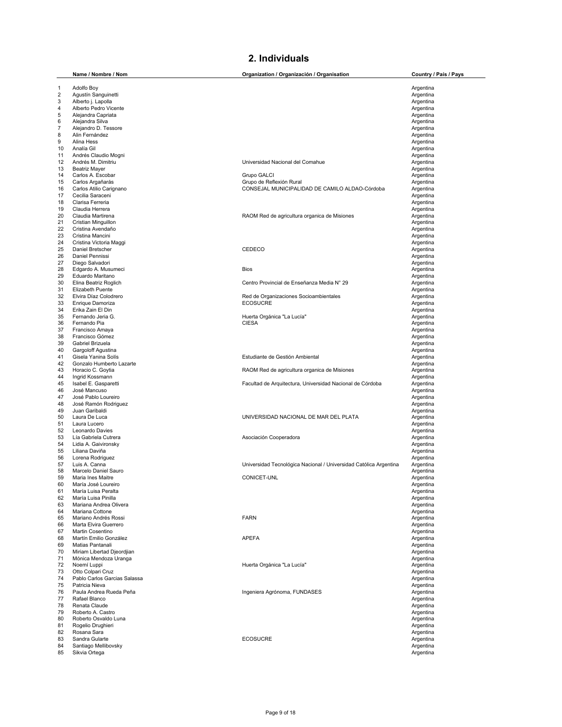## **2. Individuals**

|          | Name / Nombre / Nom                        | Organization / Organización / Organisation                        | Country / País / Pays  |
|----------|--------------------------------------------|-------------------------------------------------------------------|------------------------|
| 1        | Adolfo Boy                                 |                                                                   | Argentina              |
| 2        | Agustín Sanguinetti                        |                                                                   | Argentina              |
| 3        | Alberto j. Lapolla                         |                                                                   | Argentina              |
| 4        | Alberto Pedro Vicente                      |                                                                   | Argentina              |
| 5        | Alejandra Capriata                         |                                                                   | Argentina              |
| 6        | Alejandra Silva                            |                                                                   | Argentina              |
| 7        | Alejandro D. Tessore                       |                                                                   | Argentina              |
| 8<br>9   | Alin Fernández<br>Alina Hess               |                                                                   | Argentina<br>Argentina |
| 10       | Analía Gil                                 |                                                                   | Argentina              |
| 11       | Andrés Claudio Mogni                       |                                                                   | Argentina              |
| 12       | Andrés M. Dimitriu                         | Universidad Nacional del Comahue                                  | Argentina              |
| 13       | <b>Beatriz Mayer</b>                       |                                                                   | Argentina              |
| 14       | Carlos A. Escobar                          | Grupo GALCI                                                       | Argentina              |
| 15       | Carlos Argañarás                           | Grupo de Reflexión Rural                                          | Argentina              |
| 16       | Carlos Atilio Carignano                    | CONSEJAL MUNICIPALIDAD DE CAMILO ALDAO-Córdoba                    | Argentina              |
| 17<br>18 | Cecilia Saraceni<br>Clarisa Ferreria       |                                                                   | Argentina<br>Argentina |
| 19       | Claudia Herrera                            |                                                                   | Argentina              |
| 20       | Claudia Martirena                          | RAOM Red de agricultura organica de Misiones                      | Argentina              |
| 21       | Cristian Minguillon                        |                                                                   | Argentina              |
| 22       | Cristina Avendaño                          |                                                                   | Argentina              |
| 23       | Cristina Mancini                           |                                                                   | Argentina              |
| 24       | Cristina Victoria Maggi                    |                                                                   | Argentina              |
| 25       | Daniel Bretscher                           | CEDECO                                                            | Argentina              |
| 26       | Daniel Pennissi                            |                                                                   | Argentina              |
| 27       | Diego Salvadori                            |                                                                   | Argentina              |
| 28<br>29 | Edgardo A. Musumeci<br>Eduardo Maritano    | <b>Bios</b>                                                       | Argentina<br>Argentina |
| 30       | Elina Beatriz Roglich                      | Centro Provincial de Enseñanza Media Nº 29                        | Argentina              |
| 31       | Elizabeth Puente                           |                                                                   | Argentina              |
| 32       | Elvira Díaz Colodrero                      | Red de Organizaciones Socioambientales                            | Argentina              |
| 33       | Enrique Damoriza                           | <b>ECOSUCRE</b>                                                   | Argentina              |
| 34       | Erika Zain El Din                          |                                                                   | Argentina              |
| 35       | Fernando Jeria G.                          | Huerta Orgánica "La Lucía"                                        | Argentina              |
| 36       | Fernando Pia                               | <b>CIESA</b>                                                      | Argentina              |
| 37       | Francisco Amaya                            |                                                                   | Argentina              |
| 38<br>39 | Francisco Gómez<br>Gabriel Brizuela        |                                                                   | Argentina<br>Argentina |
| 40       | Gargoloff Agustina                         |                                                                   | Argentina              |
| 41       | Gisela Yanina Solís                        | Estudiante de Gestión Ambiental                                   | Argentina              |
| 42       | Gonzalo Humberto Lazarte                   |                                                                   | Argentina              |
| 43       | Horacio C. Goytia                          | RAOM Red de agricultura organica de Misiones                      | Argentina              |
| 44       | Ingrid Kossmann                            |                                                                   | Argentina              |
| 45       | Isabel E. Gasparetti                       | Facultad de Arquitectura, Universidad Nacional de Córdoba         | Argentina              |
| 46       | José Mancuso                               |                                                                   | Argentina              |
| 47       | José Pablo Loureiro                        |                                                                   | Argentina              |
| 48<br>49 | José Ramón Rodriguez<br>Juan Garibaldi     |                                                                   | Argentina<br>Argentina |
| 50       | Laura De Luca                              | UNIVERSIDAD NACIONAL DE MAR DEL PLATA                             | Argentina              |
| 51       | Laura Lucero                               |                                                                   | Argentina              |
| 52       | Leonardo Davies                            |                                                                   | Argentina              |
| 53       | Lía Gabriela Cutrera                       | Asociación Cooperadora                                            | Argentina              |
| 54       | Lidia A. Gaivironsky                       |                                                                   | Argentina              |
| 55       | Liliana Daviña                             |                                                                   | Argentina              |
| 56       | Lorena Rodriguez                           |                                                                   | Argentina              |
| 57       | Luis A. Canna                              | Universidad Tecnológica Nacional / Universidad Católica Argentina | Argentina              |
| 58<br>59 | Marcelo Daniel Sauro                       |                                                                   | Argentina              |
| 60       | Maria Ines Maitre<br>María José Loureiro   | CONICET-UNL                                                       | Argentina<br>Argentina |
| 61       | María Luisa Peralta                        |                                                                   | Argentina              |
| 62       | María Luisa Pinilla                        |                                                                   | Argentina              |
| 63       | Mariana Andrea Olivera                     |                                                                   | Argentina              |
| 64       | Mariana Cottone                            |                                                                   | Argentina              |
| 65       | Mariano Andrés Rossi                       | <b>FARN</b>                                                       | Argentina              |
| 66       | Marta Elvira Guerrero                      |                                                                   | Argentina              |
| 67       | Martin Cosentino                           |                                                                   | Argentina              |
| 68<br>69 | Martín Emilio González<br>Matias Pantanali | <b>APEFA</b>                                                      | Argentina              |
| 70       | Miriam Libertad Djeordjian                 |                                                                   | Argentina<br>Argentina |
| 71       | Mónica Mendoza Uranga                      |                                                                   | Argentina              |
| 72       | Noemí Luppi                                | Huerta Orgánica "La Lucía"                                        | Argentina              |
| 73       | Otto Colpari Cruz                          |                                                                   | Argentina              |
| 74       | Pablo Carlos Garcias Salassa               |                                                                   | Argentina              |
| 75       | Patricia Nieva                             |                                                                   | Argentina              |
| 76       | Paula Andrea Rueda Peña                    | Ingeniera Agrónoma, FUNDASES                                      | Argentina              |
| 77       | Rafael Blanco                              |                                                                   | Argentina              |
| 78       | Renata Claude                              |                                                                   | Argentina              |
| 79<br>80 | Roberto A. Castro<br>Roberto Osvaldo Luna  |                                                                   | Argentina<br>Argentina |
| 81       | Rogelio Drughieri                          |                                                                   | Argentina              |
| 82       | Rosana Sara                                |                                                                   | Argentina              |
| 83       | Sandra Gularte                             | <b>ECOSUCRE</b>                                                   | Argentina              |
| 84       | Santiago Mellibovsky                       |                                                                   | Argentina              |
| 85       | Sikvia Ortega                              |                                                                   | Argentina              |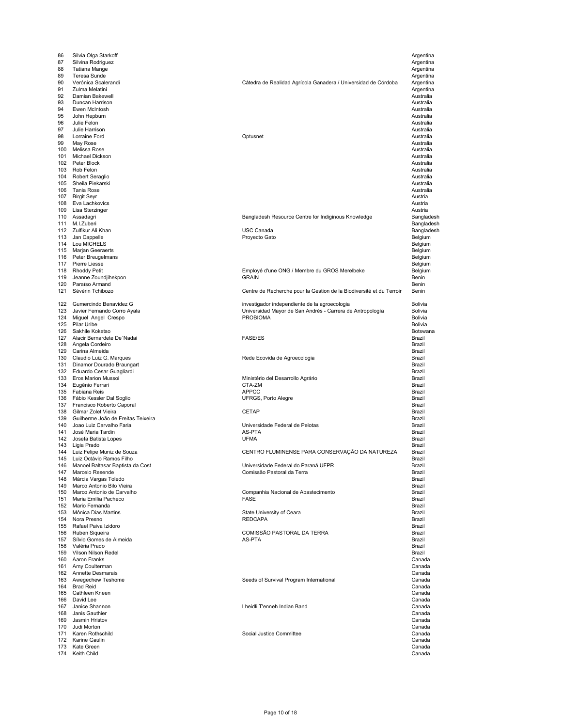| 86<br>87   | Silvia Olga Starkoff<br>Silvina Rodriguez              |                                                                      | Argentina<br>Argentina |
|------------|--------------------------------------------------------|----------------------------------------------------------------------|------------------------|
| 88         | Tatiana Mange                                          |                                                                      | Argentina              |
| 89         | Teresa Sunde                                           |                                                                      | Argentina              |
| 90         | Verónica Scalerandi                                    | Cátedra de Realidad Agrícola Ganadera / Universidad de Córdoba       | Argentina              |
| 91         | Zulma Melatini                                         |                                                                      | Argentina              |
| 92         | Damian Bakewell                                        |                                                                      | Australia              |
| 93<br>94   | Duncan Harrison<br>Ewen McIntosh                       |                                                                      | Australia<br>Australia |
| 95         | John Hepburn                                           |                                                                      | Australia              |
| 96         | Julie Felon                                            |                                                                      | Australia              |
| 97         | Julie Harrison                                         |                                                                      | Australia              |
| 98         | Lorraine Ford                                          | Optusnet                                                             | Australia              |
| 99         | May Rose                                               |                                                                      | Australia              |
| 100<br>101 | Melissa Rose<br>Michael Dickson                        |                                                                      | Australia<br>Australia |
| 102        | Peter Block                                            |                                                                      | Australia              |
| 103        | Rob Felon                                              |                                                                      | Australia              |
| 104        | Robert Seraglio                                        |                                                                      | Australia              |
| 105        | Sheila Piekarski                                       |                                                                      | Australia              |
| 106<br>107 | Tania Rose<br><b>Birgit Seyr</b>                       |                                                                      | Australia<br>Austria   |
| 108        | Eva Lachkovics                                         |                                                                      | Austria                |
| 109        | Lisa Sterzinger                                        |                                                                      | Austria                |
| 110        | Assadagri                                              | Bangladesh Resource Centre for Indiginous Knowledge                  | Bangladesh             |
| 111        | M.I.Zuberi                                             |                                                                      | Bangladesh             |
| 112        | Zulfikur Ali Khan                                      | <b>USC Canada</b>                                                    | Bangladesh             |
| 113<br>114 | Jan Cappelle<br>Lou MICHELS                            | Proyecto Gato                                                        | Belgium<br>Belgium     |
| 115        | Marjan Geeraerts                                       |                                                                      | Belgium                |
| 116        | Peter Breugelmans                                      |                                                                      | Belgium                |
| 117        | Pierre Liesse                                          |                                                                      | Belgium                |
| 118        | <b>Rhoddy Petit</b>                                    | Employé d'une ONG / Membre du GROS Merelbeke                         | Belgium                |
| 119        | Jeanne Zoundjihekpon                                   | <b>GRAIN</b>                                                         | Benin                  |
| 120        | Paraïso Armand<br>Sévérin Tchibozo                     |                                                                      | Benin                  |
| 121        |                                                        | Centre de Recherche pour la Gestion de la Biodiversité et du Terroir | Benin                  |
| 122        | Gumercindo Benavidez G                                 | investigador independiente de la agroecologia                        | Bolivia                |
| 123        | Javier Fernando Corro Ayala                            | Universidad Mayor de San Andrés - Carrera de Antropología            | Bolivia                |
| 124        | Miguel Angel Crespo                                    | <b>PROBIOMA</b>                                                      | Bolivia                |
| 125        | Pilar Uribe                                            |                                                                      | Bolivia                |
| 126        | Sakhile Koketso                                        |                                                                      | Botswana               |
| 127        | Alacir Bernardete De 'Nadai                            | <b>FASE/ES</b>                                                       | Brazil<br>Brazil       |
| 128<br>129 | Angela Cordeiro<br>Carina Almeida                      |                                                                      | Brazil                 |
| 130        | Claudio Luiz G. Marques                                | Rede Ecovida de Agroecologia                                         | Brazil                 |
| 131        | Dinamor Dourado Braungart                              |                                                                      | Brazil                 |
| 132        | Eduardo Cesar Guagliardi                               |                                                                      | Brazil                 |
| 133        | Eros Marion Mussoi                                     | Ministério del Desarrollo Agrário                                    | Brazil                 |
| 134<br>135 | Eugênio Ferrari<br>Fabiana Reis                        | CTA-ZM<br><b>APPCC</b>                                               | Brazil<br>Brazil       |
| 136        | Fábio Kessler Dal Soglio                               | UFRGS, Porto Alegre                                                  | Brazil                 |
| 137        | Francisco Roberto Caporal                              |                                                                      | Brazil                 |
| 138        | Gilmar Zolet Vieira                                    | <b>CETAP</b>                                                         | Brazil                 |
| 139        | Guilherme João de Freitas Teixeira                     |                                                                      | Brazil                 |
| 140        | Joao Luiz Carvalho Faria                               | Universidade Federal de Pelotas                                      | Brazil                 |
| 141        | José Maria Tardin                                      | AS-PTA<br><b>UFMA</b>                                                | Brazil                 |
| 142<br>143 | Josefa Batista Lopes<br>Ligia Prado                    |                                                                      | Brazil<br>Brazil       |
| 144        | Luiz Felipe Muniz de Souza                             | CENTRO FLUMINENSE PARA CONSERVAÇÃO DA NATUREZA                       | Brazil                 |
|            | 145 Luiz Octávio Ramos Filho                           |                                                                      | Brazil                 |
| 146        | Manoel Baltasar Baptista da Cost                       | Universidade Federal do Paraná UFPR                                  | Brazil                 |
| 147        | Marcelo Resende                                        | Comissão Pastoral da Terra                                           | Brazil                 |
| 148        | Márcia Vargas Toledo                                   |                                                                      | Brazil                 |
| 149<br>150 | Marco Antonio Bilo Vieira<br>Marco Antonio de Carvalho | Companhia Nacional de Abastecimento                                  | Brazil<br>Brazil       |
| 151        | Maria Emília Pacheco                                   | <b>FASE</b>                                                          | Brazil                 |
| 152        | Mario Fernanda                                         |                                                                      | Brazil                 |
| 153        | Mônica Dias Martins                                    | State University of Ceara                                            | Brazil                 |
| 154        | Nora Presno                                            | <b>REDCAPA</b>                                                       | Brazil                 |
|            | 155 Rafael Paiva Izidoro                               |                                                                      | Brazil                 |
| 156<br>157 | Ruben Siqueira<br>Sílvio Gomes de Almeida              | COMISSÃO PASTORAL DA TERRA<br>AS-PTA                                 | Brazil<br>Brazil       |
| 158        | Valéria Prado                                          |                                                                      | Brazil                 |
| 159        | Vilson Nilson Redel                                    |                                                                      | Brazil                 |
|            | 160 Aaron Franks                                       |                                                                      | Canada                 |
| 161        | Amy Coulterman                                         |                                                                      | Canada                 |
|            | 162 Annette Desmarais                                  |                                                                      | Canada                 |
|            | 163 Awegechew Teshome<br>164 Brad Reid                 | Seeds of Survival Program International                              | Canada<br>Canada       |
|            | 165 Cathleen Kneen                                     |                                                                      | Canada                 |
| 166        | David Lee                                              |                                                                      | Canada                 |
| 167        | Janice Shannon                                         | Lheidli T'enneh Indian Band                                          | Canada                 |
| 168        | Janis Gauthier                                         |                                                                      | Canada                 |
| 169        | Jasmin Hristov                                         |                                                                      | Canada                 |
| 170        | Judi Morton                                            |                                                                      | Canada                 |
| 171        | Karen Rothschild<br>172 Karine Gaulin                  | Social Justice Committee                                             | Canada<br>Canada       |
| 173        | Kate Green                                             |                                                                      | Canada                 |
| 174        | Keith Child                                            |                                                                      | Canada                 |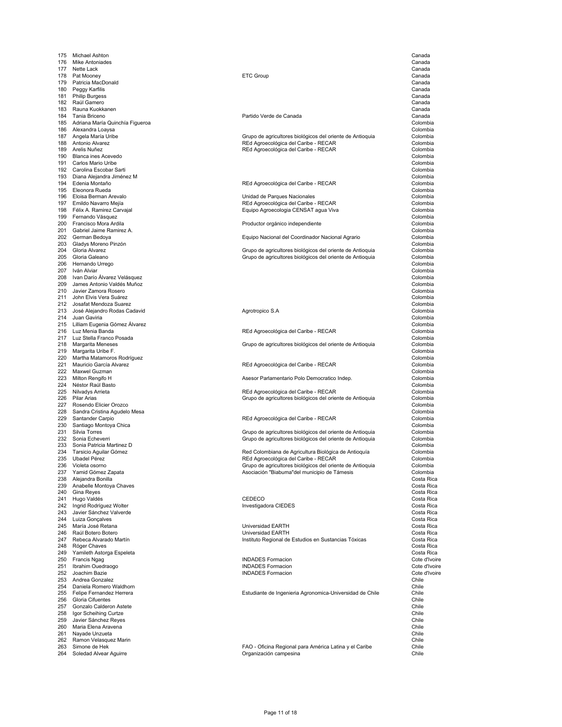175 Michael Ashton Canada<br>176 Mike Antoniades Canada 176 Mike Antoniades Canada 177 Nette Lack Canada 178 Pat Mooney ETC Group Canada the particia MacDonald Canada (1999) and the control of the control of the canada of the canada (2014) and the<br>180 Peggy Karfilis Canada (2014) and the control of the canada (2014) and the canada (2014) and the canada (20<br> 180 Peggy Karfilis Canada 181 Philip Burgess Canada 182 Raúl Gamero Canada 183 Rauna Kuokkanen Canada 185 Adriana María Cuinchía Figueroa de Antonio de Antonio de Antonio de Antonio de Adriana María Colombia de Colombia<br>186 Adriana María Quinchía Figueroa de Colombia<br>186 Alexandra Loavsa de Colombia 186 Alexandra Loaysa Colombia 190 Blanca ines Acevedo Colombia 191 Carlos Mario Uribe Colombia<br>192 Carolina Escobar Sarti Colombia and Sarti Colombia and Sarti Colombia and Sarti Colombia and Sarti Colombi<br>192 Carolina Escobar Sarti Colombia and Sarti Colombia and Sarti Colombia and S 192 Carolina Escobar Sarti Colombia Diana Alejandra Jiménez M 194 Edenia Montaño (Colombia) en la contracta de RED Agroecológica del Caribe - RECAR (Colombia) en la colombia<br>195 Eleonora Rueda (Colombia) 195 Eleonora Rueda Colombia 196 Eloisa Berman Arevalo (Colombia Colombia) de Parques Nacionales (Colombia de Parques Nacionales (Colombia<br>197 Emildo Navarro Mejía (Colombia de Parques Nacionales (Colombia de Colombia de Parques Nacionales de Colombia 197 Emildo Navarro Mejía (Colombia Recordo del Caribe - RECAR Colombia REGAR Colombia REGAR Colombia CENSAT Annun Recordo del Caribe - RECAR Colombia CENSAT Annun Recordo del Caribe - RECAR Colombia CENSAT Annun Recordo de 199 Fernando Vásquez Colombia e contra a constructivo de la contra a constructivo de la contra a contra a colombia 200 Francisco Mora Ardila (Colombia) en la contra en la productor orgánico independiente colombia de Colombia<br>201 Gabriel Jaime Ramirez A. (Colombia) 201 Gabriel Jaime Ramirez A.<br>202 German Bedoya Newslett Colombia Colombia Colombia Colombia Colombia Colombia Colombia Colombia Colombia Co zo Gladys Moreno Pinzón Colombia<br>204 Gloria Alvarez Colombia Colombia control de activitores biológicos del oriente de Antioquia colombia colombia 206 Hernando Urrego Colombia e control de la control de la colombia de la colombia de la colombia de la colombia<br>207 de la Alviar Colombia 207 Iván Alviar Colombia 208 Ivan Darío Álvarez Velásquez Colombia 209 James Antonio Valdés Muñoz Colombia 210 Javier Zamora Rosero Colombia John Elvis Vera Suárez 212 Josafat Mendoza Suarez Colombia 213 José Alejandro Rodas Cadavid<br>214 Juan Gaviria Agrotropico S.A Colombia Colombia 214 Juan Gaviria Colombia 215 Lilliam Eugenia Gómez Álvarez Colombia 217 Luz Stella Franco Posada<br>218 Margarita Meneses Colombia and Colombia Colombia Colombia Colombia Colombia Colombia Colombia Colombia Co 219 Margarita Uribe F. Colombia Martha Matamoros Rodríguez 221 Mauricio García Alvarez Delombia antico del Caribe - REGAR Colombia Colombia antico del Caribe - RECAR Colombia<br>222 Maxwel Guzman Colombia 222 Maxwel Guzman Colombia 223 Milton Rengifo H<br>223 Milton Rengifo H<br>224 Néstor Raúl Basto Colombia 224 Néstor Raúl Basto<br>225 Nilvadys Arrieta Colombia and Colombia and Colombia REC Agroecológica del Caribe - RECAR Colombia Colombia 226 Pilar Arias Grupo de agrícultores biológicos del oriente de Antioquia Colombia<br>227 Rosendo Elicier Orozco Colombia 2021 - 2022 كانت بين المستوى المستوى المستوى المستوى المستوى المستوى المستوى المستوى المستوى المستوى المستوى ا<br>2010 Sandra Cristina Agudelo Mesa<br>Colombia 228 Sandra Cristina Agudelo Mesa Colombia 230 Santiago Montoya Chica<br>231 Silvia Torres Colombia Colombia Colombia Colombia Colombia Colombia Colombia Colombia 232 Sonia Echeverri Colombia Colombia Colombia establece a Colombia de Antioquia de Colombia de Colombia de Colombia<br>233 Sonia Patricia Martinez D 233 Sonia Patricia Martinez D<br>234 Tarsicio Aguilar Gómez **Colombia Colombia Colombia Colombia Colombia** Colombia Colombia Colombia Colombia<br>235 Ubadel Pérez Colombia Colombia Colombia REd Agroecológica del Caribe - RECAR 237 Yamid Gómez Zapata **Asociación "Biabuma"del municipio de Támesis** Colombia<br>238 Alejandra Bonilla Costa Rica Alejandra Bonilla en and the montoya Chaves Costa Rica<br>
239 Anabelle Montoya Chaves<br>
240 Gina Reyes Costa Rica 240 Gina Reyes Costa Rica 241 Hugo Valdés CEDECO Costa Rica 242 Ingrid Rodríguez Wolter Investigadora CIEDES Costa Rica 243 Javier Sánchez Valverde Costa Rica 244 Luiza Gonçalves Costa Rica 246 Raúl Botero Botero Universidad EARTH Costa Rica 247 Rebeca Alvarado Martín Instituto Regional de Estudios en Sustancias Tóxicas Costa Rica 248 Róger Chaves Costa Rica 249 Yamileth Astorga Espeleta Costa Rica 250 Francis Ngag **INDADES Formacion**<br>251 Ibrahim Ouedraogo **Provident Contract Contract Contract Contract Contract Contract Contract Contract Cote d'Ivoire** 251 Ibrahim Ouedraogo INDADES Formacion Cote d'Ivoire 252 Joachim Bazie Cote d'Ivoire Cote d'Ivoire au Cote d'Ivoire d'Albert de la Cote de la Cote d'Ivoire de la Cote d'Ivoire<br>253 Andrea Gonzalez 253 Andrea Gonzalez Chile<br>254 Daniela Romero Waldhorn Chile 254 Daniela Romero Waldhorn Chile 256 Gloria Cifuentes Chile 257 Gonzalo Calderon Astete Chile 258 Igor Scheihing Curtze Chile Javier Sánchez Reyes 260 Maria Elena Aravena Chile 261 Nayade Unzueta Chile 262 Ramon Velasquez Marin Chile<br>263 Simone de Hek Chile Chile Chile Chile Chile Chile Chile Chile Chile Chile Chile Chile Chile Chile Chile Chile

#### Partido Verde de Canada

187 Angela María Uribe Colombia Colombia Colombia Colombia Colombia Colombia Colombia Colombia Colombia Colombia<br>188 Antonio Alvarez Colombia Colombia Colombia Colombia REd Agroecológica del Caribe - RECAR 188 Antonio Alvarez Colombia a contra un control del caribe - RECAR Colombia a Colombia del Caribe - RECAR Colombia<br>189 Arelis Nuñez Colombia REd Agroecológica del Caribe - RECAR

Equipo Agroecologia CENSAT agua Viva

Equipo Nacional del Coordinador Nacional Agrario

204 Gloria Alvarez Grupo de agricultores biológicos del oriente de Antioquia Colombia 205 Gloria Galeano Grupo de agricultores biológicos del oriente de Antioquia Colombia

REd Agroecológica del Caribe - RECAR

218 Margarita Meneses Grupo de agricultores biológicos del oriente de Antioquia Colombia

225 Nilvadys Arrieta Colombia Colombia Colombia RED Agroecológica del Caribe - RECAR Colombia Colombia Colombia<br>226 Pilar Arias Colombia Colombia Colombia Colombia Colombia Colombia Colombia Colombia Colombia Colombia Colo

229 REd Agroecológica del Caribe - RECAR Colombia<br>Colombia

231 Silvia Torres (Colombia Colombia) control de agrícultores biológicos del oriente de Antioquia (Colombia Colombia<br>232 Sonia Echeverri (Colombia Colombia) control de agrícultores biológicos del oriente de Antioquia

234 Tarsicio Aguilar Gómez Red Colombiana de Agricultura Biológica de Antioquía Colombia 235 Ubadel Pérez REd Agroecológica del Caribe - RECAR Colombia 236 Violeta osorno Colombia (Colombia osorno Grupo de agricultores biológicos del oriente de Antioquia Colombia<br>237 Yamid Gómez Zapata (Colombia colombia colombia Asociación "Biabuma"del municipio de Támesis

245 María José Retana Universidad EARTH Costa Rica

Estudiante de Ingenieria Agronomica-Universidad de Chile

FAO - Oficina Regional para América Latina y el Caribe 264 Soledad Alvear Aguirre Organización campesina Chile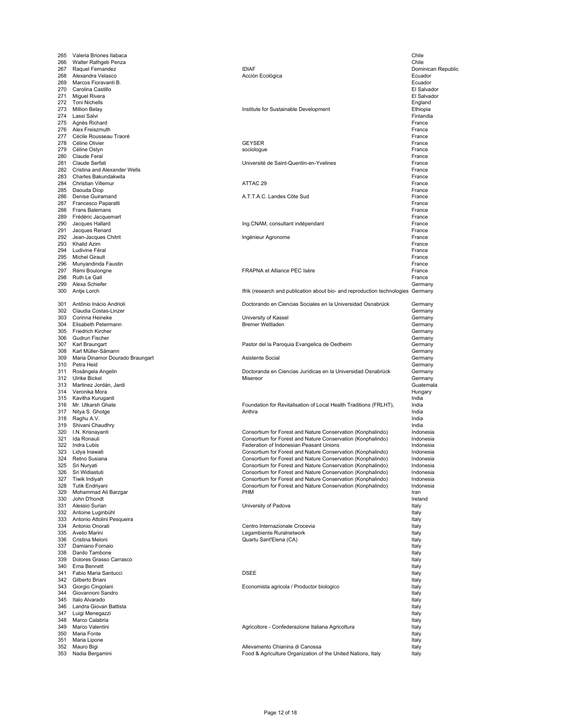| 265        | Valeria Briones Ilabaca                           |                                                                                                                            | Chile                  |
|------------|---------------------------------------------------|----------------------------------------------------------------------------------------------------------------------------|------------------------|
| 266        | Walter Rathgeb Penza                              |                                                                                                                            | Chile                  |
| 267        | Raquel Fernandez                                  | <b>IDIAF</b>                                                                                                               | Dominican Republic     |
| 268        | Alexandra Velasco                                 | Acción Ecológica                                                                                                           | Ecuador                |
| 269        | Marcos Fioravanti B.                              |                                                                                                                            | Ecuador                |
| 270        | Carolina Castillo                                 |                                                                                                                            | El Salvador            |
| 271        | Miguel Rivera                                     |                                                                                                                            | El Salvador            |
|            | 272 Toni Nichells                                 |                                                                                                                            | England                |
| 273<br>274 | Million Belay                                     | Institute for Sustainable Development                                                                                      | Ethiopia<br>Finlandia  |
| 275        | Lassi Salvi<br>Agnès Richard                      |                                                                                                                            | France                 |
| 276        | Alex Freiszmuth                                   |                                                                                                                            | France                 |
| 277        | Cécile Rousseau Traoré                            |                                                                                                                            | France                 |
| 278        | Céline Olivier                                    | <b>GEYSER</b>                                                                                                              | France                 |
| 279        | Céline Ostyn                                      | sociologue                                                                                                                 | France                 |
| 280        | Claude Feral                                      |                                                                                                                            | France                 |
| 281        | Claude Serfati                                    | Université de Saint-Quentin-en-Yvelines                                                                                    | France                 |
| 282        | Cristina and Alexander Wells                      |                                                                                                                            | France                 |
| 283        | Charles Bakundakwita                              |                                                                                                                            | France                 |
| 284        | Christian Villemur                                | ATTAC 29                                                                                                                   | France                 |
| 285<br>286 | Daouda Diop                                       | A.T.T.A.C. Landes Côte Sud                                                                                                 | France                 |
| 287        | Denise Guiramand<br>Francesco Paparatti           |                                                                                                                            | France<br>France       |
| 288        | Frans Balemans                                    |                                                                                                                            | France                 |
| 289        | Frédéric Jacquemart                               |                                                                                                                            | France                 |
| 290        | Jacques Hallard                                   | Ing.CNAM, consultant indépendant                                                                                           | France                 |
| 291        | Jacques Renard                                    |                                                                                                                            | France                 |
| 292        | Jean-Jacques Chitrit                              | Ingénieur Agronome                                                                                                         | France                 |
| 293        | Khalid Azim                                       |                                                                                                                            | France                 |
| 294        | Ludivine Féral                                    |                                                                                                                            | France                 |
| 295        | <b>Michel Girault</b>                             |                                                                                                                            | France                 |
| 296        | Munyandinda Faustin                               |                                                                                                                            | France                 |
| 297        | Rémi Boulongne                                    | FRAPNA et Alliance PEC Isère                                                                                               | France                 |
| 298        | Ruth Le Gall                                      |                                                                                                                            | France                 |
| 299        | Alexa Schiefer                                    |                                                                                                                            | Germany                |
| 300        | Antje Lorch                                       | Ifrik (research and publication about bio- and reproduction technologies Germany                                           |                        |
| 301        | Antônio Inácio Andrioli                           | Doctorando en Ciencias Sociales en la Universidad Osnabrück                                                                | Germany                |
| 302        | Claudia Costas-Linzer                             |                                                                                                                            | Germany                |
| 303        | Corinna Heineke                                   | University of Kassel                                                                                                       | Germany                |
|            | 304 Elisabeth Petermann                           | <b>Bremer Weltladen</b>                                                                                                    | Germany                |
| 305        | Friedrich Kircher                                 |                                                                                                                            | Germany                |
| 306        | Gudrun Fischer                                    |                                                                                                                            | Germany                |
| 307        | Karl Braungart                                    | Pastor del la Paroquia Evangelica de Oedheim                                                                               | Germany                |
| 308        | Karl Müller-Sämann                                |                                                                                                                            | Germany                |
| 309        | Maria Dinamor Dourado Braungart                   | Asistente Social                                                                                                           | Germany                |
| 310        | Petra Heid                                        |                                                                                                                            | Germany                |
| 311        | Rosângela Angelin<br>312 Ulrike Bickel            | Doctoranda en Ciencias Jurídicas en la Universidad Osnabrück<br>Misereor                                                   | Germany                |
| 313        | Martinez Jordán, Jardi                            |                                                                                                                            | Germany<br>Guatemala   |
|            | 314 Veronika Mora                                 |                                                                                                                            | Hungary                |
| 315        | Kavitha Kuruganti                                 |                                                                                                                            | India                  |
| 316        | Mr. Utkarsh Ghate                                 | Foundation for Revitalisation of Local Health Traditions (FRLHT),                                                          | India                  |
| 317        | Nitya S. Ghotge                                   | Anthra                                                                                                                     | India                  |
|            | 318 Raghu A.V.                                    |                                                                                                                            | India                  |
|            | 319 Shivani Chaudhry                              |                                                                                                                            | India                  |
|            | 320 I.N. Krisnayanti                              | Consortium for Forest and Nature Conservation (Konphalindo)                                                                | Indonesia              |
| 321        | Ida Ronauli                                       | Consortium for Forest and Nature Conservation (Konphalindo)                                                                | Indonesia              |
| 322        | Indra Lubis                                       | Federation of Indonesian Peasant Unions                                                                                    | Indonesia              |
| 323        | Lidya Inawati                                     | Consortium for Forest and Nature Conservation (Konphalindo)                                                                | Indonesia              |
| 324        | Retno Susiana                                     | Consortium for Forest and Nature Conservation (Konphalindo)                                                                | Indonesia              |
| 325<br>326 | Sri Nuryati<br>Sri Widiastuti                     | Consortium for Forest and Nature Conservation (Konphalindo)<br>Consortium for Forest and Nature Conservation (Konphalindo) | Indonesia<br>Indonesia |
| 327        | Tiwik Indiyah                                     | Consortium for Forest and Nature Conservation (Konphalindo)                                                                | Indonesia              |
| 328        | Tutik Endriyani                                   | Consortium for Forest and Nature Conservation (Konphalindo)                                                                | Indonesia              |
|            | 329 Mohammad Ali Barzgar                          | <b>PHM</b>                                                                                                                 | Iran                   |
|            | 330 John D'hondt                                  |                                                                                                                            | Ireland                |
|            | 331 Alessio Surian                                | University of Padova                                                                                                       | Italy                  |
|            | 332 Antoine Luginbühl                             |                                                                                                                            | Italy                  |
|            | 333 Antonio Attolini Pesqueira                    |                                                                                                                            | Italy                  |
|            | 334 Antonio Onorati                               | Centro Internazionale Crocevia                                                                                             | Italy                  |
|            | 335 Avelio Marini                                 | Legambiente Ruralnetwork                                                                                                   | Italy                  |
|            | 336 Cristina Meloni                               | Quartu Sant'Elena (CA)                                                                                                     | Italy                  |
|            | 337 Damiano Fornaio                               |                                                                                                                            | Italy                  |
|            | 338 Danilo Tambone<br>339 Dolores Grasso Carrasco |                                                                                                                            | Italy<br>Italy         |
|            | 340 Erna Bennett                                  |                                                                                                                            | Italy                  |
|            | 341 Fabio Maria Santucci                          | <b>DSEE</b>                                                                                                                | Italy                  |
|            | 342 Gilberto Briani                               |                                                                                                                            | Italy                  |
|            | 343 Giorgio Cingolani                             | Economista agricola / Productor biologico                                                                                  | Italy                  |
|            | 344 Giovannoni Sandro                             |                                                                                                                            | Italy                  |
|            | 345 Italo Alvarado                                |                                                                                                                            | Italy                  |
| 346        | Landra Giovan Battista                            |                                                                                                                            | Italy                  |
|            | 347 Luigi Menegazzi                               |                                                                                                                            | Italy                  |
| 348        | Marco Calabria                                    |                                                                                                                            | Italy                  |
| 349        | Marco Valentini                                   | Agricoltore - Confederazione Italiana Agricoltura                                                                          | Italy                  |
| 350        | Maria Fonte                                       |                                                                                                                            | Italy                  |
| 351        | Maria Lipone                                      | Allevamento Chianina di Canossa                                                                                            | Italy                  |
| 352<br>353 | Mauro Bigi<br>Nadia Bergamini                     | Food & Agriculture Organization of the United Nations, Italy                                                               | Italy<br>Italy         |
|            |                                                   |                                                                                                                            |                        |
|            |                                                   |                                                                                                                            |                        |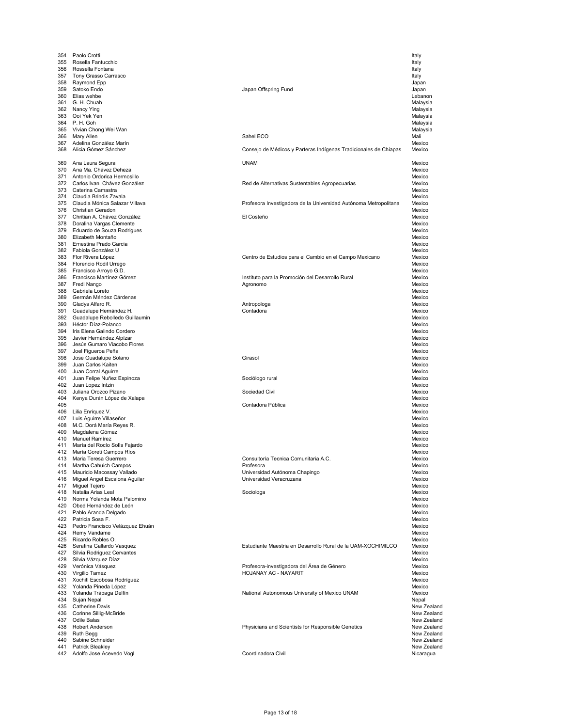| 354        | Paolo Crotti                                     |                                                                  | Italy                      |
|------------|--------------------------------------------------|------------------------------------------------------------------|----------------------------|
| 355        | Rosella Fantucchio                               |                                                                  | Italy                      |
| 356        | Rossella Fontana                                 |                                                                  | Italy                      |
| 357        | Tony Grasso Carrasco                             |                                                                  | Italy                      |
| 358        | Raymond Epp                                      |                                                                  | Japan                      |
| 359        | Satoko Endo                                      | Japan Offspring Fund                                             | Japan                      |
| 360        | Elias wehbe                                      |                                                                  | Lebanon                    |
| 361        | G. H. Chuah                                      |                                                                  | Malaysia                   |
| 362        | Nancy Ying                                       |                                                                  | Malaysia                   |
| 363        | Ooi Yek Yen                                      |                                                                  | Malaysia                   |
| 364<br>365 | P.H. Goh                                         |                                                                  | Malaysia                   |
| 366        | Vivian Chong Wei Wan                             | Sahel ECO                                                        | Malaysia<br>Mali           |
| 367        | Mary Allen<br>Adelina González Marín             |                                                                  | Mexico                     |
| 368        | Alicia Gómez Sánchez                             | Consejo de Médicos y Parteras Indígenas Tradicionales de Chiapas | Mexico                     |
|            |                                                  |                                                                  |                            |
| 369        | Ana Laura Segura                                 | <b>UNAM</b>                                                      | Mexico                     |
| 370        | Ana Ma. Chávez Deheza                            |                                                                  | Mexico                     |
| 371        | Antonio Ordorica Hermosillo                      |                                                                  | Mexico                     |
|            | 372 Carlos Ivan Chávez González                  | Red de Alternativas Sustentables Agropecuarias                   | Mexico                     |
| 373        | Caterina Camastra                                |                                                                  | Mexico                     |
| 374        | Claudia Brindis Zavala                           |                                                                  | Mexico                     |
| 375        | Claudia Mónica Salazar Villava                   | Profesora Investigadora de la Universidad Autónoma Metropolitana | Mexico                     |
|            | 376 Christian Geradon                            |                                                                  | Mexico                     |
| 377        | Chritian A. Chávez González                      | El Costeño                                                       | Mexico                     |
| 378        | Doralina Vargas Clemente                         |                                                                  | Mexico                     |
| 379        | Eduardo de Souza Rodrigues                       |                                                                  | Mexico                     |
|            | 380 Elizabeth Montaño                            |                                                                  | Mexico                     |
| 381        | Ernestina Prado Garcia                           |                                                                  | Mexico                     |
|            | 382 Fabiola González U                           |                                                                  | Mexico                     |
|            | 383 Flor Rivera López                            | Centro de Estudios para el Cambio en el Campo Mexicano           | Mexico                     |
| 384        | Florencio Rodil Urrego                           |                                                                  | Mexico                     |
| 385        | Francisco Arroyo G.D.                            |                                                                  | Mexico                     |
| 386<br>387 | Francisco Martínez Gómez<br>Fredi Nango          | Instituto para la Promoción del Desarrollo Rural<br>Agronomo     | Mexico<br>Mexico           |
| 388        | Gabriela Loreto                                  |                                                                  | Mexico                     |
| 389        | Germán Méndez Cárdenas                           |                                                                  | Mexico                     |
|            | 390 Gladys Alfaro R.                             | Antropologa                                                      | Mexico                     |
| 391        | Guadalupe Hernández H.                           | Contadora                                                        | Mexico                     |
| 392        | Guadalupe Rebolledo Guillaumin                   |                                                                  | Mexico                     |
| 393        | Héctor Díaz-Polanco                              |                                                                  | Mexico                     |
| 394        | Iris Elena Galindo Cordero                       |                                                                  | Mexico                     |
| 395        | Javier Hernández Alpízar                         |                                                                  | Mexico                     |
| 396        | Jesús Gumaro Viacobo Flores                      |                                                                  | Mexico                     |
| 397        | Joel Figueroa Peña                               |                                                                  | Mexico                     |
| 398        | Jose Guadalupe Solano                            | Girasol                                                          | Mexico                     |
| 399        | Juan Carlos Kaiten                               |                                                                  | Mexico                     |
| 400        | Juan Corral Aguirre                              |                                                                  | Mexico                     |
| 401        | Juan Felipe Nuñez Espinoza                       | Sociólogo rural                                                  | Mexico                     |
| 402        | Juan Lopez Intzin                                |                                                                  | Mexico                     |
| 403        | Juliana Orozco Pizano                            | Sociedad Civil                                                   | Mexico                     |
| 404<br>405 | Kenya Durán López de Xalapa                      | Contadora Pública                                                | Mexico<br>Mexico           |
| 406        | Lilia Enriquez V.                                |                                                                  | Mexico                     |
| 407        | Luis Aguirre Villaseñor                          |                                                                  | Mexico                     |
|            | 408 M.C. Dorá María Reyes R.                     |                                                                  | Mexico                     |
| 409        | Magdalena Gómez                                  |                                                                  | Mexico                     |
| 410        | <b>Manuel Ramírez</b>                            |                                                                  | Mexico                     |
| 411        | Maria del Rocío Solis Fajardo                    |                                                                  | Mexico                     |
| 412        | María Goreti Campos Ríos                         |                                                                  | Mexico                     |
| 413        | Maria Teresa Guerrero                            | Consultoría Tecnica Comunitaria A.C.                             | Mexico                     |
| 414        | Martha Cahuich Campos                            | Profesora                                                        | Mexico                     |
| 415        | Mauricio Macossay Vallado                        | Universidad Autónoma Chapingo                                    | Mexico                     |
| 416        | Miguel Angel Escalona Aguilar                    | Universidad Veracruzana                                          | Mexico                     |
|            | 417 Miguel Tejero                                |                                                                  | Mexico                     |
| 418        | Natalia Arias Leal                               | Sociologa                                                        | Mexico                     |
| 419        | Norma Yolanda Mota Palomino                      |                                                                  | Mexico                     |
|            | 420 Obed Hernández de León                       |                                                                  | Mexico                     |
|            | 421 Pablo Aranda Delgado<br>422 Patricia Sosa F. |                                                                  | Mexico                     |
|            | 423 Pedro Francisco Velázquez Ehuán              |                                                                  | Mexico<br>Mexico           |
|            | 424 Remy Vandame                                 |                                                                  | Mexico                     |
|            | 425 Ricardo Robles O.                            |                                                                  | Mexico                     |
|            | 426 Serafina Gallardo Vasquez                    | Estudiante Maestria en Desarrollo Rural de la UAM-XOCHIMILCO     | Mexico                     |
| 427        | Silvia Rodriguez Cervantes                       |                                                                  | Mexico                     |
|            | 428 Silvia Vázquez Díaz                          |                                                                  | Mexico                     |
|            | 429 Verónica Vásquez                             | Profesora-investigadora del Área de Género                       | Mexico                     |
|            | 430 Virgilio Tamez                               | HOJANAY AC - NAYARIT                                             | Mexico                     |
|            | 431 Xochitl Escobosa Rodríguez                   |                                                                  | Mexico                     |
|            | 432 Yolanda Pineda López                         |                                                                  | Mexico                     |
|            | 433 Yolanda Trápaga Delfín                       | National Autonomous University of Mexico UNAM                    | Mexico                     |
|            | 434 Sujan Nepal                                  |                                                                  | Nepal                      |
|            | 435 Catherine Davis                              |                                                                  | New Zealand                |
|            | 436 Corinne Sillig-McBride                       |                                                                  | New Zealand                |
| 437        | Odile Balas                                      |                                                                  | New Zealand                |
|            | 438 Robert Anderson                              | Physicians and Scientists for Responsible Genetics               | New Zealand                |
|            | 439 Ruth Begg                                    |                                                                  | New Zealand<br>New Zealand |
| 441        | 440 Sabine Schneider<br><b>Patrick Bleakley</b>  |                                                                  | New Zealand                |
|            | 442 Adolfo Jose Acevedo Vogl                     | Coordinadora Civil                                               | Nicaragua                  |
|            |                                                  |                                                                  |                            |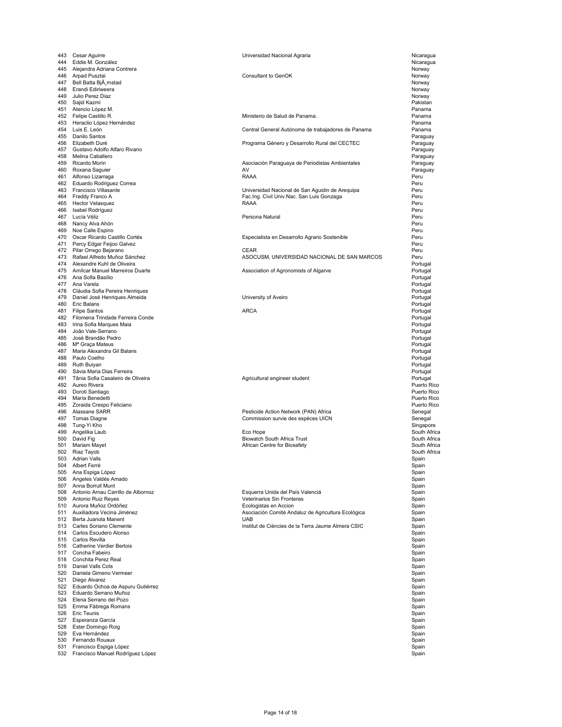| 443        | Cesar Aguirre                            | Universidad Nacional Agraria                       | Nicaragua      |
|------------|------------------------------------------|----------------------------------------------------|----------------|
| 444        | Eddie M. González                        |                                                    | Nicaragua      |
|            | 445 Alejandra Adriana Contrera           |                                                    | Norway         |
| 446        | Arpad Pusztai                            | Consultant to GenOK                                | Norway         |
| 447        | Bell Batta BjA mstad                     |                                                    | Norway         |
| 448        | Erandi Ediriweera                        |                                                    | Norway         |
| 449        | Julio Perez Diaz                         |                                                    | Norway         |
| 450        | Sajid Kazmi                              |                                                    | Pakistan       |
| 451        | Atencio López M.                         |                                                    | Panama         |
| 452        | Felipe Castillo R.                       | Ministerio de Salud de Panama.                     | Panama         |
|            | 453 Heraclio López Hernández             |                                                    | Panama         |
|            | 454 Luis E. León                         | Central General Autónoma de trabajadores de Panama | Panama         |
|            | 455 Danilo Santos                        |                                                    | Paraguay       |
|            | 456 Elizabeth Duré                       | Programa Género y Desarrollo Rural del CECTEC      | Paraguay       |
| 457        | Gustavo Adolfo Alfaro Rivano             |                                                    | Paraguay       |
| 458        | Melina Caballero                         |                                                    | Paraguay       |
| 459        | Ricardo Morín                            | Asociación Paraguaya de Periodistas Ambientales    | Paraguay       |
| 460        | Roxana Saguier                           | AV                                                 | Paraguay       |
| 461        | Alfonso Lizarraga                        | RAAA                                               | Peru           |
|            | 462 Eduardo Rodriguez Correa             |                                                    | Peru           |
|            | 463 Francisco Villasante                 | Universidad Nacional de San Agustin de Arequipa    | Peru           |
| 464        | Freddy Franco A                          | Fac.Ing. Civil Univ.Nac. San Luis Gonzaga          | Peru           |
|            | 465 Hector Velasquez                     | RAAA                                               | Peru           |
| 466        | Isabel Rodríguez                         |                                                    | Peru           |
| 467        | Lucía Véliz                              | Persona Natural                                    | Peru           |
| 468        | Nancy Alva Ahón                          |                                                    | Peru           |
|            | 469 Noe Calle Espino                     |                                                    | Peru           |
|            | 470 Oscar Ricardo Castillo Cortés        | Especialista en Desarrollo Agrario Sostenible      | Peru           |
| 471        | Percy Edgar Feijoo Galvez                |                                                    | Peru           |
| 472        | Pilar Orrego Bejarano                    | CEAR                                               | Peru           |
| 473        | Rafael Alfredo Muñoz Sánchez             | ASOCUSM, UNIVERSIDAD NACIONAL DE SAN MARCOS        | Peru           |
| 474        | Alexandre Kuhl de Oliveira               |                                                    | Portugal       |
|            | 475 Amílcar Manuel Marreiros Duarte      | Association of Agronomists of Algarve              | Portugal       |
|            | 476 Ana Sofia Basílio                    |                                                    | Portugal       |
|            | 477 Ana Varela                           |                                                    | Portugal       |
|            | 478 Cláudia Sofia Pereira Henriques      |                                                    | Portugal       |
| 479        | Daniel José Henriques Almeida            | University of Aveiro                               | Portugal       |
| 480        | Eric Balans                              |                                                    | Portugal       |
|            | 481 Filipe Santos                        | <b>ARCA</b>                                        | Portugal       |
| 482        | Filomena Trindade Ferreira Conde         |                                                    | Portugal       |
| 483        | Irina Sofia Marques Maia                 |                                                    | Portugal       |
| 484        | João Vale-Serrano                        |                                                    | Portugal       |
| 485        | José Brandão Pedro                       |                                                    | Portugal       |
| 486        | M <sup>a</sup> Graça Mateus              |                                                    | Portugal       |
| 487        | Maria Alexandra Gil Balans               |                                                    | Portugal       |
| 488        | Paulo Coelho                             |                                                    | Portugal       |
| 489        | Ruth Buiyan                              |                                                    | Portugal       |
| 490        | Sávia Maria Dias Ferreira                |                                                    | Portugal       |
| 491        | Tânia Sofia Casaleiro de Oliveira        | Agricultural engineer student                      | Portugal       |
|            | 492 Aureo Rivera                         |                                                    | Puerto Rico    |
| 493        | Doroti Santiago                          |                                                    | Puerto Rico    |
|            | 494 María Benedetti                      |                                                    | Puerto Rico    |
|            | 495 Zoraida Crespo Feliciano             |                                                    | Puerto Rico    |
| 496        | Alassane SARR                            | Pesticide Action Network (PAN) Africa              | Senegal        |
|            | 497 Tomas Diagne                         | Commission survie des espèces UICN                 | Senegal        |
|            | 498 Tung-Yi Kho                          |                                                    | Singapore      |
| 499        | Angelika Laub                            | Eco Hope                                           | South Africa   |
| 500        | David Fig                                | <b>Biowatch South Africa Trust</b>                 | South Africa   |
| 501        | Mariam Mayet                             | African Centre for Biosafety                       | South Africa   |
| 502        | Riaz Tayob                               |                                                    | South Africa   |
|            |                                          |                                                    |                |
| 504        | 503 Adrian Valls                         |                                                    | Spain          |
|            | Albert Ferre                             |                                                    | Spain          |
| 505<br>506 | Ana Espiga López<br>Angeles Valdés Amado |                                                    | Spain<br>Spain |
| 507        | Anna Borrull Munt                        |                                                    |                |
|            | Antonio Arnau Carrillo de Albornoz       |                                                    | Spain          |
| 508        |                                          | Esquerra Unida del País Valenciá                   | Spain          |
| 509        | Antonio Ruiz Reyes                       | Veterinarios Sin Fronteras                         | Spain          |
| 510        | Aurora Muñoz Ordóñez                     | Ecologistas en Accion                              | Spain          |
|            | 511 Auxiliadora Vecina Jiménez           | Asociación Comité Andaluz de Agricultura Ecológica | Spain          |
| 512        | Berta Juanola Manent                     | <b>UAB</b>                                         | Spain          |
| 513        | Carles Soriano Clemente                  | Institut de Ciències de la Terra Jaume Almera CSIC | Spain          |
| 514        | Carlos Escudero Alonso                   |                                                    | Spain          |
|            | 515 Carlos Revilla                       |                                                    | Spain          |
| 516        | Catherine Verdier Bertois                |                                                    | Spain          |
| 517        | Concha Fabeiro                           |                                                    | Spain          |
| 518        | Conchita Perez Real                      |                                                    | Spain          |
| 519        | Daniel Valls Cots                        |                                                    | Spain          |
| 520        | Daniela Gimeno Vermeer                   |                                                    | Spain          |
| 521        | Diego Alvarez                            |                                                    | Spain          |
|            | 522 Eduardo Ochoa de Aspuru Gutiérrez    |                                                    | Spain          |
| 523        | Eduardo Serrano Muñoz                    |                                                    | Spain          |
|            | 524 Elena Serrano del Pozo               |                                                    | Spain          |
| 525        | Emma Fàbrega Romans                      |                                                    | Spain          |
|            | 526 Eric Teunis                          |                                                    | Spain          |
| 527        | Esperanza García                         |                                                    | Spain          |
| 528        | Ester Domingo Roig                       |                                                    | Spain          |
| 529        | Eva Hernández                            |                                                    | Spain          |
|            | 530 Fernando Rouaux                      |                                                    | Spain          |
|            | 531 Francisco Espiga López               |                                                    | Spain          |
|            | 532 Francisco Manuel Rodríguez López     |                                                    | Spain          |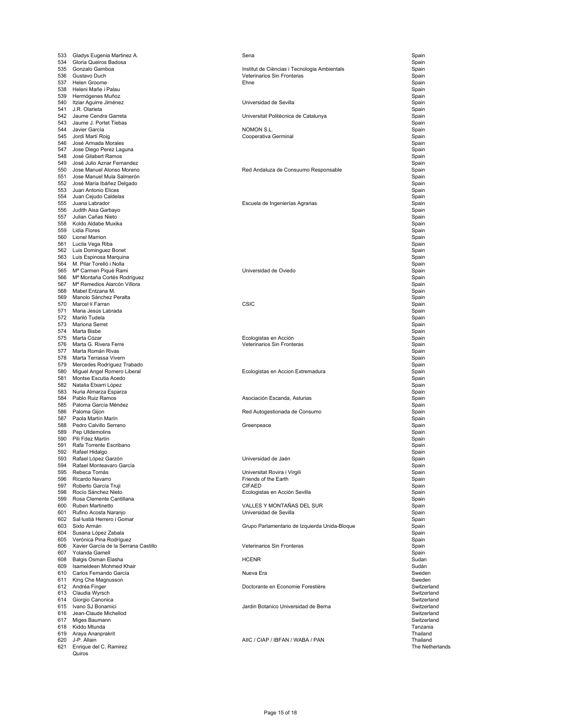| 533 | Gladys Eugenia Martinez A.                | Sena                                          | Spain                       |
|-----|-------------------------------------------|-----------------------------------------------|-----------------------------|
| 534 | Gloria Queiros Badosa                     |                                               | Spain                       |
| 535 | Gonzalo Gamboa                            | Institut de Cièncias i Tecnologia Ambientals  | Spain                       |
| 536 | Gustavo Duch                              | Veterinarios Sin Fronteras                    | Spain                       |
| 537 | Helen Groome                              | Ehne                                          | Spain                       |
| 538 | Heleni Mañe i Palau                       |                                               | Spain                       |
| 539 | Hermógenes Muñoz                          |                                               | Spain                       |
| 540 | Itziar Aguirre Jiménez                    | Universidad de Sevilla                        | Spain                       |
| 541 | J.R. Olarieta                             |                                               | Spain                       |
| 542 | Jaume Cendra Garreta                      | Universitat Politècnica de Catalunya          | Spain                       |
| 543 | Jaume J. Portet Tiebas                    |                                               | Spain                       |
| 544 | Javier García                             | NOMON S.L.                                    | Spain                       |
| 545 | Jordi Martí Roig                          | Cooperativa Germinal                          | Spain                       |
| 546 | José Armada Morales                       |                                               | Spain                       |
| 547 | Jose Diego Perez Laguna                   |                                               | Spain                       |
| 548 | José Gilabert Ramos                       |                                               | Spain                       |
| 549 | José Julio Aznar Fernandez                |                                               | Spain                       |
| 550 | Jose Manuel Alonso Moreno                 | Red Andaluza de Consuumo Responsable          | Spain                       |
| 551 | Jose Manuel Mula Salmerón                 |                                               | Spain                       |
| 552 | José María Ibáñez Delgado                 |                                               | Spain                       |
| 553 | Juan Antonio Elices                       |                                               | Spain                       |
| 554 | Juan Cejudo Caldelas                      |                                               | Spain                       |
| 555 | Juana Labrador                            | Escuela de Ingenierías Agrarias               | Spain                       |
| 556 | Judith Aisa Garbayo                       |                                               | Spain                       |
| 557 | Julian Cañas Nieto                        |                                               | Spain                       |
| 558 | Koldo Aldabe Muxika                       |                                               | Spain                       |
| 559 | Lidia Flores                              |                                               | Spain                       |
| 560 | Lionel Marrion                            |                                               | Spain                       |
| 561 | Lucila Vega Riba                          |                                               | Spain                       |
| 562 | Luis Dominguez Bonet                      |                                               | Spain                       |
| 563 | Luis Espinosa Marquina                    |                                               | Spain                       |
| 564 | M. Pilar Torelló i Nolla                  |                                               | Spain                       |
| 565 | M <sup>a</sup> Carmen Piqué Rami          | Universidad de Oviedo                         | Spain                       |
| 566 | Mª Montaña Cortés Rodríguez               |                                               | Spain                       |
| 567 | M <sup>a</sup> Remedios Alarcón Víllora   |                                               | Spain                       |
| 568 | Mabel Entzana M.                          |                                               | Spain                       |
| 569 | Manolo Sánchez Peralta                    |                                               | Spain                       |
| 570 | Marcel·lí Farran                          | <b>CSIC</b>                                   | Spain                       |
| 571 | Maria Jesús Labrada                       |                                               | Spain                       |
| 572 | Mariló Tudela                             |                                               | Spain                       |
| 573 | Mariona Serret                            |                                               | Spain                       |
| 574 | Marta Bisbe                               |                                               | Spain                       |
| 575 | Marta Cózar                               | Ecologistas en Acción                         | Spain                       |
| 576 | Marta G. Rivera Ferre                     | Veterinarios Sin Fronteras                    | Spain                       |
| 577 | Marta Román Rivas                         |                                               | Spain                       |
| 578 | Marta Terrassa Vivern                     |                                               | Spain                       |
| 579 | Mercedes Rodríguez Trabado                |                                               | Spain                       |
| 580 | Miguel Angel Romero Liberal               | Ecologistas en Accion Extremadura             | Spain                       |
| 581 | Montse Escutia Acedo                      |                                               | Spain                       |
| 582 | Natalia Etxarri López                     |                                               | Spain                       |
| 583 | Nuria Almarza Esparza                     |                                               | Spain                       |
| 584 | Pablo Ruiz Ramos                          | Asociación Escanda, Asturias                  | Spain                       |
| 585 | Paloma García Méndez                      |                                               | Spain                       |
| 586 | Paloma Gijon                              | Red Autogestionada de Consumo                 | Spain                       |
| 587 | Paola Martín Marín                        |                                               | Spain                       |
| 588 | Pedro Calvillo Serrano                    | Greenpeace                                    | Spain                       |
| 589 | Pep Ulldemolins                           |                                               | Spain                       |
| 590 | Pili Fdez Martín                          |                                               | Spain                       |
| 591 | Rafa Torrente Escribano                   |                                               | Spain                       |
| 592 | Rafael Hidalgo                            |                                               | Spain                       |
| 593 | Rafael López Garzón                       | Universidad de Jaén                           | Spain                       |
| 594 | Rafael Monteavaro García                  |                                               | Spain                       |
| 595 | Rebeca Tomás                              | Universitat Rovira i Virgili                  | Spain                       |
| 596 | Ricardo Navarro                           | Friends of the Earth                          | Spain                       |
| 597 | Roberto García Truji                      | <b>CIFAED</b>                                 | Spain                       |
| 598 | Rocío Sánchez Nieto                       | Ecologistas en Acción Sevilla                 | Spain                       |
| 599 | Rosa Clemente Cantillana                  |                                               | Spain                       |
| 600 | <b>Ruben Martinetto</b>                   | VALLES Y MONTAÑAS DEL SUR                     | Spain                       |
| 601 | Rufino Acosta Naranjo                     | Universidad de Sevilla                        | Spain                       |
| 602 | Sal·lustià Herrero i Gomar                |                                               | Spain                       |
| 603 | Sixto Armán                               | Grupo Parlamentario de Izquierda Unida-Bloque | Spain                       |
| 604 | Susana López Zabala                       |                                               | Spain                       |
|     | 605 Verónica Pina Rodríguez               |                                               | Spain                       |
| 606 | Xavier García de la Serrana Castillo      | Veterinarios Sin Fronteras                    | Spain                       |
| 607 | Yolanda Gamell                            |                                               | Spain                       |
| 608 | Balgis Osman Elasha                       | <b>HCENR</b>                                  | Sudan                       |
| 609 | Isameldeen Mohmed Khair                   |                                               | Sudán                       |
| 610 | Carlos Fernando García                    | Nueva Era                                     | Sweden                      |
| 611 | King Che Magnusson                        |                                               | Sweden                      |
|     | 612 Andréa Finger                         | Doctorante en Economie Forestière             | Switzerland                 |
|     | 613 Claudia Wyrsch                        |                                               | Switzerland                 |
| 614 | Giorgio Canonica                          |                                               | Switzerland                 |
| 615 | Ivano SJ Bonamici                         | Jardin Botanico Universidad de Berna          | Switzerland                 |
| 616 | Jean-Claude Michellod                     |                                               | Switzerland                 |
| 617 | Miges Baumann                             |                                               | Switzerland                 |
| 618 | Kiddo Mtunda                              |                                               | Tanzania                    |
| 619 | Araya Ananprakrit                         |                                               | Thailand                    |
| 620 | J-P. Allain<br>621 Enrique del C. Ramirez | AIIC / CIAP / IBFAN / WABA / PAN              | Thailand<br>The Netherlands |
|     | Quiros                                    |                                               |                             |
|     |                                           |                                               |                             |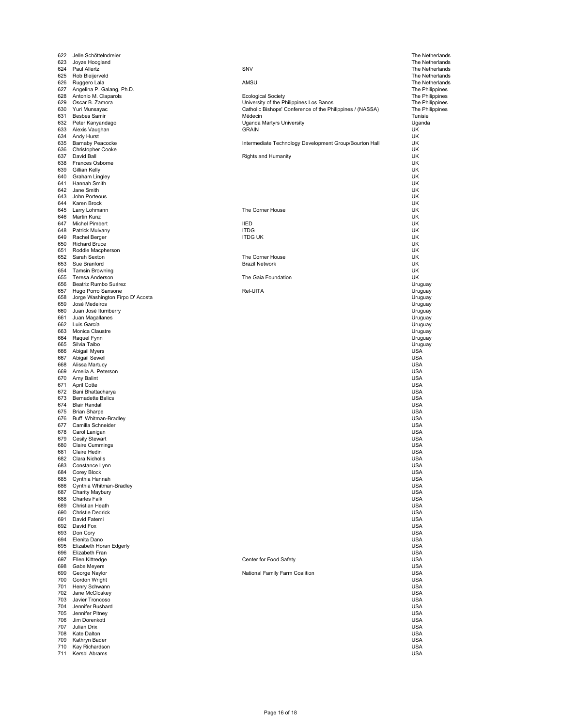| 622        | Jelle Schöttelndreier                                  |                                                           | The Netherlands                    |
|------------|--------------------------------------------------------|-----------------------------------------------------------|------------------------------------|
| 623        | Joyze Hoogland                                         |                                                           | The Netherlands                    |
| 624        | Paul Allertz                                           | SNV                                                       | The Netherlands                    |
| 626        | 625 Rob Bleijerveld<br>Ruggero Lala                    | AMSU                                                      | The Netherlands<br>The Netherlands |
| 627        | Angelina P. Galang, Ph.D.                              |                                                           | The Philippines                    |
| 628        | Antonio M. Claparols                                   | <b>Ecological Society</b>                                 | The Philippines                    |
| 629        | Oscar B. Zamora                                        | University of the Philippines Los Banos                   | The Philippines                    |
|            | 630 Yuri Munsayac                                      | Catholic Bishops' Conference of the Philippines / (NASSA) | The Philippines                    |
| 631        | <b>Besbes Samir</b>                                    | Médecin                                                   | Tunisie                            |
| 632        | Peter Kanyandago                                       | Uganda Martyrs University                                 | Uganda                             |
| 633<br>634 | Alexis Vaughan<br>Andy Hurst                           | <b>GRAIN</b>                                              | UK<br>UK                           |
| 635        | <b>Barnaby Peacocke</b>                                | Intermediate Technology Development Group/Bourton Hall    | UK                                 |
| 636        | <b>Christopher Cooke</b>                               |                                                           | UK                                 |
| 637        | David Ball                                             | <b>Rights and Humanity</b>                                | UK                                 |
| 638        | Frances Osborne                                        |                                                           | UK                                 |
| 639        | Gillian Kelly                                          |                                                           | UK                                 |
| 640<br>641 | Graham Lingley<br>Hannah Smith                         |                                                           | UK<br>UK                           |
| 642        | Jane Smith                                             |                                                           | UK                                 |
| 643        | John Porteous                                          |                                                           | UK                                 |
| 644        | Karen Brock                                            |                                                           | UK                                 |
| 645        | Larry Lohmann                                          | The Corner House                                          | UK                                 |
| 646        | Martin Kunz                                            |                                                           | UK                                 |
| 647        | Michel Pimbert                                         | <b>IIED</b>                                               | UK                                 |
| 648<br>649 | Patrick Mulvany<br>Rachel Berger                       | <b>ITDG</b><br><b>ITDG UK</b>                             | UK<br>UK                           |
| 650        | <b>Richard Bruce</b>                                   |                                                           | UK                                 |
| 651        | Roddie Macpherson                                      |                                                           | UK                                 |
| 652        | Sarah Sexton                                           | The Corner House                                          | UK                                 |
| 653        | Sue Branford                                           | <b>Brazil Network</b>                                     | UK                                 |
| 654        | <b>Tamsin Browning</b>                                 |                                                           | UK                                 |
| 655        | Teresa Anderson                                        | The Gaia Foundation                                       | UK                                 |
| 656        | Beatriz Rumbo Suárez                                   |                                                           | Uruguay                            |
| 657<br>658 | Hugo Porro Sansone<br>Jorge Washington Firpo D' Acosta | Rel-UITA                                                  | Uruguay<br>Uruguay                 |
| 659        | José Medeiros                                          |                                                           | Uruguay                            |
| 660        | Juan José Iturriberry                                  |                                                           | Uruguay                            |
| 661        | Juan Magallanes                                        |                                                           | Uruguay                            |
| 662        | Luis García                                            |                                                           | Uruguay                            |
| 663        | Monica Claustre                                        |                                                           | Uruguay                            |
| 664        | Raquel Fynn                                            |                                                           | Uruguay                            |
| 665        | Silvia Taibo                                           |                                                           | Uruguay                            |
| 666<br>667 | Abigail Myers<br>Abigail Sewell                        |                                                           | USA<br><b>USA</b>                  |
| 668        | Alissa Martucy                                         |                                                           | <b>USA</b>                         |
| 669        | Amelia A. Peterson                                     |                                                           | <b>USA</b>                         |
| 670        | Amy Balint                                             |                                                           | USA                                |
| 671        | April Cotte                                            |                                                           | <b>USA</b>                         |
| 672        | Bani Bhattacharya                                      |                                                           | <b>USA</b>                         |
| 673        | <b>Bernadette Balics</b>                               |                                                           | <b>USA</b>                         |
| 674        | <b>Blair Randall</b>                                   |                                                           | <b>USA</b>                         |
| 675<br>676 | <b>Brian Sharpe</b><br>Buff Whitman-Bradley            |                                                           | <b>USA</b><br><b>USA</b>           |
| 677        | Camilla Schneider                                      |                                                           | <b>USA</b>                         |
| 678        | Carol Lanigan                                          |                                                           | <b>USA</b>                         |
| 679        | Cesily Stewart                                         |                                                           | <b>USA</b>                         |
| 680        | <b>Claire Cummings</b>                                 |                                                           | <b>USA</b>                         |
| 681        | Claire Hedin                                           |                                                           | <b>USA</b>                         |
| 682        | Clara Nicholls                                         |                                                           | <b>USA</b>                         |
| 683        | Constance Lynn                                         |                                                           | <b>USA</b>                         |
| 684<br>685 | Corey Block<br>Cynthia Hannah                          |                                                           | <b>USA</b><br><b>USA</b>           |
| 686        | Cynthia Whitman-Bradley                                |                                                           | <b>USA</b>                         |
| 687        | Charity Maybury                                        |                                                           | <b>USA</b>                         |
| 688        | <b>Charles Falk</b>                                    |                                                           | <b>USA</b>                         |
| 689        | Christian Heath                                        |                                                           | <b>USA</b>                         |
| 690        | <b>Christie Dedrick</b>                                |                                                           | <b>USA</b>                         |
| 691        | David Fatemi                                           |                                                           | <b>USA</b>                         |
| 693        | 692 David Fox<br>Don Cory                              |                                                           | <b>USA</b><br><b>USA</b>           |
| 694        | Elenita Dano                                           |                                                           | <b>USA</b>                         |
| 695        | Elizabeth Horan Edgerly                                |                                                           | <b>USA</b>                         |
| 696        | Elizabeth Fran                                         |                                                           | <b>USA</b>                         |
| 697        | Ellen Kittredge                                        | Center for Food Safety                                    | <b>USA</b>                         |
| 698        | Gabe Meyers                                            |                                                           | <b>USA</b>                         |
| 699        | George Naylor                                          | National Family Farm Coalition                            | <b>USA</b>                         |
| 700        | Gordon Wright                                          |                                                           | <b>USA</b>                         |
| 701        | Henry Schwann                                          |                                                           | <b>USA</b>                         |
| 702<br>703 | Jane McCloskey<br>Javier Troncoso                      |                                                           | <b>USA</b><br><b>USA</b>           |
| 704        | Jennifer Bushard                                       |                                                           | <b>USA</b>                         |
| 705        | Jennifer Pitney                                        |                                                           | <b>USA</b>                         |
| 706        | Jim Dorenkott                                          |                                                           | <b>USA</b>                         |
| 707        | Julian Drix                                            |                                                           | <b>USA</b>                         |
| 708        | Kate Dalton                                            |                                                           | <b>USA</b>                         |
| 709        | Kathryn Bader                                          |                                                           | <b>USA</b>                         |
| 710        | Kay Richardson                                         |                                                           | <b>USA</b>                         |
| 711        | Kersbi Abrams                                          |                                                           | <b>USA</b>                         |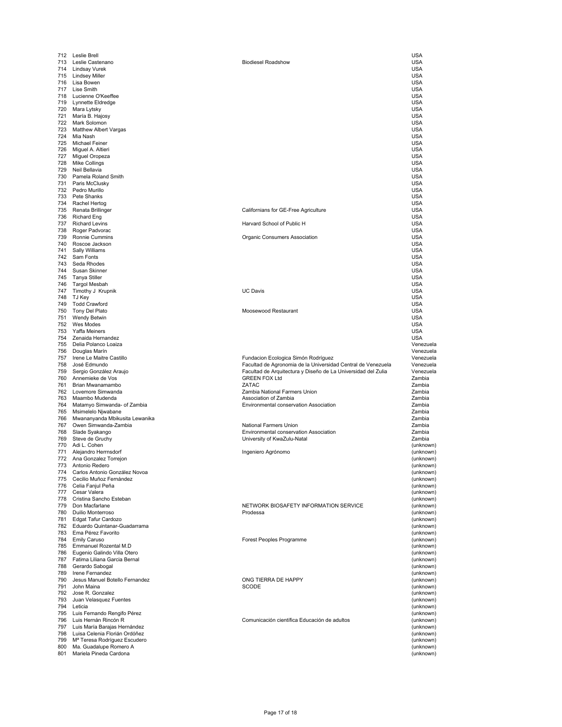| 712 | Leslie Brell                                             |                                                               | USA                                                                        |
|-----|----------------------------------------------------------|---------------------------------------------------------------|----------------------------------------------------------------------------|
|     | 713 Leslie Castenano                                     | <b>Biodiesel Roadshow</b>                                     | <b>USA</b>                                                                 |
|     | 714 Lindsay Vurek                                        |                                                               | <b>USA</b>                                                                 |
|     | 715 Lindsey Miller                                       |                                                               | <b>USA</b>                                                                 |
|     | 716 Lisa Bowen                                           |                                                               | <b>USA</b>                                                                 |
|     |                                                          |                                                               |                                                                            |
|     | 717 Lise Smith                                           |                                                               | <b>USA</b>                                                                 |
|     | 718 Lucienne O'Keeffee                                   |                                                               | <b>USA</b>                                                                 |
|     | 719 Lynnette Eldredge                                    |                                                               | <b>USA</b>                                                                 |
| 720 | Mara Lytsky                                              |                                                               | <b>USA</b>                                                                 |
| 721 | María B. Hajosy                                          |                                                               | <b>USA</b>                                                                 |
|     | 722 Mark Solomon                                         |                                                               | <b>USA</b>                                                                 |
|     | 723 Matthew Albert Vargas                                |                                                               | <b>USA</b>                                                                 |
| 724 |                                                          |                                                               | <b>USA</b>                                                                 |
|     | Mia Nash                                                 |                                                               |                                                                            |
|     | 725 Michael Feiner                                       |                                                               | <b>USA</b>                                                                 |
| 726 | Miguel A. Altieri                                        |                                                               | <b>USA</b>                                                                 |
| 727 | Miguel Oropeza                                           |                                                               | <b>USA</b>                                                                 |
| 728 | <b>Mike Collings</b>                                     |                                                               | <b>USA</b>                                                                 |
| 729 | Neil Bellavia                                            |                                                               | <b>USA</b>                                                                 |
|     | 730 Pamela Roland Smith                                  |                                                               | <b>USA</b>                                                                 |
|     | 731 Paris McClusky                                       |                                                               | <b>USA</b>                                                                 |
|     |                                                          |                                                               |                                                                            |
|     | 732 Pedro Murillo                                        |                                                               | <b>USA</b>                                                                 |
|     | 733 Pete Shanks                                          |                                                               | <b>USA</b>                                                                 |
|     | 734 Rachel Hertog                                        |                                                               | <b>USA</b>                                                                 |
|     | 735 Renata Brillinger                                    | Californians for GE-Free Agriculture                          | <b>USA</b>                                                                 |
|     | 736 Richard Eng                                          |                                                               | <b>USA</b>                                                                 |
| 737 | <b>Richard Levins</b>                                    | Harvard School of Public H                                    | <b>USA</b>                                                                 |
| 738 | Roger Padvorac                                           |                                                               | <b>USA</b>                                                                 |
|     |                                                          |                                                               |                                                                            |
| 739 | Ronnie Cummins                                           | Organic Consumers Association                                 | <b>USA</b>                                                                 |
|     | 740 Roscoe Jackson                                       |                                                               | <b>USA</b>                                                                 |
| 741 | Sally Williams                                           |                                                               | <b>USA</b>                                                                 |
|     | 742 Sam Fonts                                            |                                                               | <b>USA</b>                                                                 |
|     | 743 Seda Rhodes                                          |                                                               | <b>USA</b>                                                                 |
|     | 744 Susan Skinner                                        |                                                               | <b>USA</b>                                                                 |
|     | 745 Tanya Stiller                                        |                                                               | <b>USA</b>                                                                 |
|     |                                                          |                                                               |                                                                            |
| 746 | Targol Mesbah                                            |                                                               | <b>USA</b>                                                                 |
| 747 | Timothy J Krupnik                                        | <b>UC Davis</b>                                               | <b>USA</b>                                                                 |
|     | 748 TJ Key                                               |                                                               | <b>USA</b>                                                                 |
|     | 749 Todd Crawford                                        |                                                               | <b>USA</b>                                                                 |
|     | 750 Tony Del Plato                                       | Moosewood Restaurant                                          | <b>USA</b>                                                                 |
| 751 | Wendy Betwin                                             |                                                               | <b>USA</b>                                                                 |
| 752 |                                                          |                                                               |                                                                            |
|     | Wes Modes                                                |                                                               | <b>USA</b>                                                                 |
| 753 | Yaffa Meiners                                            |                                                               | <b>USA</b>                                                                 |
|     | 754 Zenaida Hernandez                                    |                                                               | <b>USA</b>                                                                 |
|     | 755 Delia Polanco Loaiza                                 |                                                               | Venezuela                                                                  |
|     | 756 Douglas Marín                                        |                                                               | Venezuela                                                                  |
| 757 | Irene Le Maitre Castillo                                 | Fundacion Ecologica Simón Rodríguez                           | Venezuela                                                                  |
| 758 | José Edmundo                                             | Facultad de Agronomia de la Universidad Central de Venezuela  | Venezuela                                                                  |
| 759 | Sergio González Araujo                                   | Facultad de Arquitectura y Diseño de La Universidad del Zulia | Venezuela                                                                  |
| 760 | Annemieke de Vos                                         | <b>GREEN FOX Ltd</b>                                          | Zambia                                                                     |
|     |                                                          |                                                               |                                                                            |
|     |                                                          |                                                               |                                                                            |
| 761 | Brian Mwanamambo                                         | ZATAC                                                         | Zambia                                                                     |
|     | 762 Lovemore Simwanda                                    | Zambia National Farmers Union                                 | Zambia                                                                     |
| 763 | Maambo Mudenda                                           | Association of Zambia                                         | Zambia                                                                     |
| 764 |                                                          | Environmental conservation Association                        | Zambia                                                                     |
|     | Matamyo Simwanda- of Zambia                              |                                                               |                                                                            |
| 765 | Msimelelo Njwabane                                       |                                                               | Zambia                                                                     |
| 766 | Mwananyanda Mbikusita Lewanika                           |                                                               | Zambia                                                                     |
| 767 | Owen Simwanda-Zambia                                     | <b>National Farmers Union</b>                                 | Zambia                                                                     |
| 768 | Slade Syakango                                           | Environmental conservation Association                        | Zambia                                                                     |
| 769 | Steve de Gruchy                                          | University of KwaZulu-Natal                                   | Zambia                                                                     |
| 770 | Adi L. Cohen                                             |                                                               |                                                                            |
| 771 |                                                          |                                                               | (unknown)                                                                  |
|     | Alejandro Herrnsdorf                                     | Ingeniero Agrónomo                                            | (unknown)                                                                  |
|     | 772 Ana Gonzalez Torrejon                                |                                                               |                                                                            |
| 773 | Antonio Redero                                           |                                                               | (unknown)<br>(unknown)                                                     |
|     | 774 Carlos Antonio González Novoa                        |                                                               | (unknown)                                                                  |
|     | 775 Cecilio Muñoz Fernández                              |                                                               | (unknown)                                                                  |
|     | 776 Celia Fanjul Peña                                    |                                                               |                                                                            |
|     | 777 Cesar Valera                                         |                                                               | (unknown)<br>(unknown)                                                     |
|     | 778 Cristina Sancho Esteban                              |                                                               | (unknown)                                                                  |
|     |                                                          |                                                               |                                                                            |
|     | 779 Don Macfarlane                                       | NETWORK BIOSAFETY INFORMATION SERVICE                         |                                                                            |
|     | 780 Duilio Monterroso                                    | Prodessa                                                      | (unknown)<br>(unknown)                                                     |
|     | 781 Edgat Tafur Cardozo                                  |                                                               |                                                                            |
|     | 782 Eduardo Quintanar-Guadarrama                         |                                                               |                                                                            |
|     | 783 Ema Pérez Favorito                                   |                                                               |                                                                            |
|     | 784 Emily Caruso                                         | Forest Peoples Programme                                      | (unknown)<br>(unknown)<br>(unknown)<br>(unknown)                           |
|     | 785 Emmanuel Rozental M.D                                |                                                               |                                                                            |
|     | 786 Eugenio Galindo Villa Otero                          |                                                               |                                                                            |
|     |                                                          |                                                               | (unknown)<br>(unknown)                                                     |
|     | 787 Fatima Liliana Garcia Bernal                         |                                                               |                                                                            |
|     | 788 Gerardo Sabogal                                      |                                                               |                                                                            |
| 789 | Irene Fernandez                                          |                                                               | (unknown)<br>(unknown)<br>(unknown)                                        |
| 790 | Jesus Manuel Botello Fernandez                           | ONG TIERRA DE HAPPY                                           | (unknown)                                                                  |
|     | 791 John Maina                                           | SCODE                                                         | (unknown)                                                                  |
|     | 792 Jose R. Gonzalez                                     |                                                               | (unknown)                                                                  |
|     |                                                          |                                                               |                                                                            |
|     | 793 Juan Velasquez Fuentes                               |                                                               | (unknown)                                                                  |
|     | 794 Leticia                                              |                                                               | (unknown)                                                                  |
|     | 795 Luis Fernando Rengifo Pérez                          |                                                               | (unknown)                                                                  |
|     | 796 Luis Hernán Rincón R                                 | Comunicación científica Educación de adultos                  |                                                                            |
| 797 | Luis María Barajas Hernández                             |                                                               |                                                                            |
|     | 798 Luisa Celenia Florián Ordóñez                        |                                                               |                                                                            |
|     |                                                          |                                                               |                                                                            |
| 799 | Mª Teresa Rodríguez Escudero                             |                                                               |                                                                            |
|     | 800 Ma. Guadalupe Romero A<br>801 Mariela Pineda Cardona |                                                               | (unknown)<br>(unknown)<br>(unknown)<br>(unknown)<br>(unknown)<br>(unknown) |